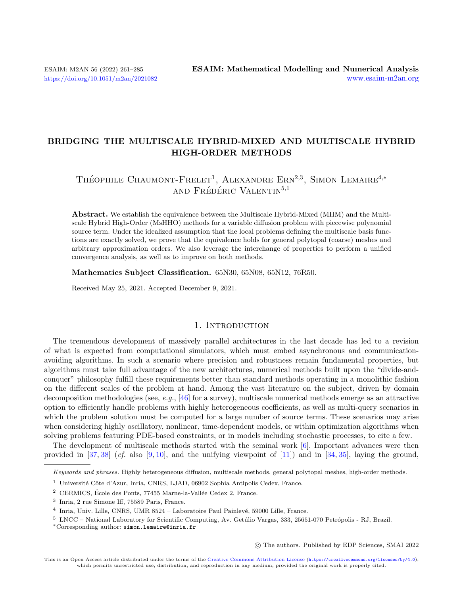# BRIDGING THE MULTISCALE HYBRID-MIXED AND MULTISCALE HYBRID HIGH-ORDER METHODS

# THÉOPHILE CHAUMONT-FRELET<sup>1</sup>, ALEXANDRE ERN<sup>2,3</sup>, SIMON LEMAIRE<sup>4,\*</sup> AND FRÉDÉRIC VALENTIN<sup>5,1</sup>

Abstract. We establish the equivalence between the Multiscale Hybrid-Mixed (MHM) and the Multiscale Hybrid High-Order (MsHHO) methods for a variable diffusion problem with piecewise polynomial source term. Under the idealized assumption that the local problems defining the multiscale basis functions are exactly solved, we prove that the equivalence holds for general polytopal (coarse) meshes and arbitrary approximation orders. We also leverage the interchange of properties to perform a unified convergence analysis, as well as to improve on both methods.

Mathematics Subject Classification. 65N30, 65N08, 65N12, 76R50.

Received May 25, 2021. Accepted December 9, 2021.

# 1. INTRODUCTION

The tremendous development of massively parallel architectures in the last decade has led to a revision of what is expected from computational simulators, which must embed asynchronous and communicationavoiding algorithms. In such a scenario where precision and robustness remain fundamental properties, but algorithms must take full advantage of the new architectures, numerical methods built upon the "divide-andconquer" philosophy fulfill these requirements better than standard methods operating in a monolithic fashion on the different scales of the problem at hand. Among the vast literature on the subject, driven by domain decomposition methodologies (see, e.g., [\[46\]](#page-23-0) for a survey), multiscale numerical methods emerge as an attractive option to efficiently handle problems with highly heterogeneous coefficients, as well as multi-query scenarios in which the problem solution must be computed for a large number of source terms. These scenarios may arise when considering highly oscillatory, nonlinear, time-dependent models, or within optimization algorithms when solving problems featuring PDE-based constraints, or in models including stochastic processes, to cite a few.

The development of multiscale methods started with the seminal work [\[6\]](#page-22-0). Important advances were then provided in  $[37, 38]$  $[37, 38]$  $[37, 38]$  (*cf.* also [\[9,](#page-22-1) [10\]](#page-22-2), and the unifying viewpoint of [\[11\]](#page-22-3)) and in [\[34,](#page-23-3) [35\]](#page-23-4), laying the ground,

Keywords and phrases. Highly heterogeneous diffusion, multiscale methods, general polytopal meshes, high-order methods.

○c The authors. Published by EDP Sciences, SMAI 2022

<sup>&</sup>lt;sup>1</sup> Université Côte d'Azur, Inria, CNRS, LJAD, 06902 Sophia Antipolis Cedex, France.

 $2$  CERMICS, École des Ponts, 77455 Marne-la-Vallée Cedex 2, France.

<sup>3</sup> Inria, 2 rue Simone Iff, 75589 Paris, France.

<sup>&</sup>lt;sup>4</sup> Inria, Univ. Lille, CNRS, UMR 8524 – Laboratoire Paul Painlevé, 59000 Lille, France.

<sup>&</sup>lt;sup>5</sup> LNCC – National Laboratory for Scientific Computing, Av. Getúlio Vargas, 333, 25651-070 Petrópolis - RJ, Brazil.

<sup>\*</sup>Corresponding author: [simon.lemaire@inria.fr](mailto:simon.lemaire@inria.fr)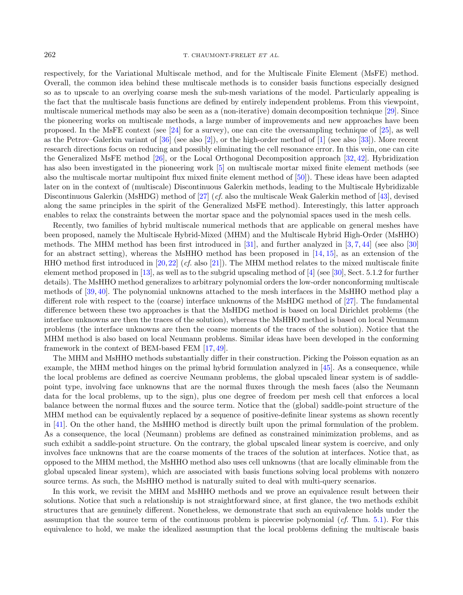respectively, for the Variational Multiscale method, and for the Multiscale Finite Element (MsFE) method. Overall, the common idea behind these multiscale methods is to consider basis functions especially designed so as to upscale to an overlying coarse mesh the sub-mesh variations of the model. Particularly appealing is the fact that the multiscale basis functions are defined by entirely independent problems. From this viewpoint, multiscale numerical methods may also be seen as a (non-iterative) domain decomposition technique [\[29\]](#page-23-5). Since the pioneering works on multiscale methods, a large number of improvements and new approaches have been proposed. In the MsFE context (see [\[24\]](#page-23-6) for a survey), one can cite the oversampling technique of [\[25\]](#page-23-7), as well as the Petrov–Galerkin variant of [\[36\]](#page-23-8) (see also [\[2\]](#page-22-4)), or the high-order method of [\[1\]](#page-22-5) (see also [\[33\]](#page-23-9)). More recent research directions focus on reducing and possibly eliminating the cell resonance error. In this vein, one can cite the Generalized MsFE method [\[26\]](#page-23-10), or the Local Orthogonal Decomposition approach [\[32,](#page-23-11) [42\]](#page-23-12). Hybridization has also been investigated in the pioneering work [\[5\]](#page-22-6) on multiscale mortar mixed finite element methods (see also the multiscale mortar multipoint flux mixed finite element method of [\[50\]](#page-24-0)). These ideas have been adapted later on in the context of (multiscale) Discontinuous Galerkin methods, leading to the Multiscale Hybridizable Discontinuous Galerkin (MsHDG) method of  $[27]$  (*cf.* also the multiscale Weak Galerkin method of  $[43]$ , devised along the same principles in the spirit of the Generalized MsFE method). Interestingly, this latter approach enables to relax the constraints between the mortar space and the polynomial spaces used in the mesh cells.

Recently, two families of hybrid multiscale numerical methods that are applicable on general meshes have been proposed, namely the Multiscale Hybrid-Mixed (MHM) and the Multiscale Hybrid High-Order (MsHHO) methods. The MHM method has been first introduced in [\[31\]](#page-23-15), and further analyzed in [\[3,](#page-22-7)[7,](#page-22-8)[44\]](#page-23-16) (see also [\[30\]](#page-23-17) for an abstract setting), whereas the MsHHO method has been proposed in [\[14,](#page-22-9) [15\]](#page-22-10), as an extension of the HHO method first introduced in [\[20,](#page-23-18)[22\]](#page-23-19) (cf. also [\[21\]](#page-23-20)). The MHM method relates to the mixed multiscale finite element method proposed in [\[13\]](#page-22-11), as well as to the subgrid upscaling method of [\[4\]](#page-22-12) (see [\[30\]](#page-23-17), Sect. 5.1.2 for further details). The MsHHO method generalizes to arbitrary polynomial orders the low-order nonconforming multiscale methods of [\[39,](#page-23-21) [40\]](#page-23-22). The polynomial unknowns attached to the mesh interfaces in the MsHHO method play a different role with respect to the (coarse) interface unknowns of the MsHDG method of [\[27\]](#page-23-13). The fundamental difference between these two approaches is that the MsHDG method is based on local Dirichlet problems (the interface unknowns are then the traces of the solution), whereas the MsHHO method is based on local Neumann problems (the interface unknowns are then the coarse moments of the traces of the solution). Notice that the MHM method is also based on local Neumann problems. Similar ideas have been developed in the conforming framework in the context of BEM-based FEM [\[17,](#page-22-13) [49\]](#page-24-1).

The MHM and MsHHO methods substantially differ in their construction. Picking the Poisson equation as an example, the MHM method hinges on the primal hybrid formulation analyzed in [\[45\]](#page-23-23). As a consequence, while the local problems are defined as coercive Neumann problems, the global upscaled linear system is of saddlepoint type, involving face unknowns that are the normal fluxes through the mesh faces (also the Neumann data for the local problems, up to the sign), plus one degree of freedom per mesh cell that enforces a local balance between the normal fluxes and the source term. Notice that the (global) saddle-point structure of the MHM method can be equivalently replaced by a sequence of positive-definite linear systems as shown recently in [\[41\]](#page-23-24). On the other hand, the MsHHO method is directly built upon the primal formulation of the problem. As a consequence, the local (Neumann) problems are defined as constrained minimization problems, and as such exhibit a saddle-point structure. On the contrary, the global upscaled linear system is coercive, and only involves face unknowns that are the coarse moments of the traces of the solution at interfaces. Notice that, as opposed to the MHM method, the MsHHO method also uses cell unknowns (that are locally eliminable from the global upscaled linear system), which are associated with basis functions solving local problems with nonzero source terms. As such, the MsHHO method is naturally suited to deal with multi-query scenarios.

In this work, we revisit the MHM and MsHHO methods and we prove an equivalence result between their solutions. Notice that such a relationship is not straightforward since, at first glance, the two methods exhibit structures that are genuinely different. Nonetheless, we demonstrate that such an equivalence holds under the assumption that the source term of the continuous problem is piecewise polynomial  $(cf. Thm. 5.1)$  $(cf. Thm. 5.1)$ . For this equivalence to hold, we make the idealized assumption that the local problems defining the multiscale basis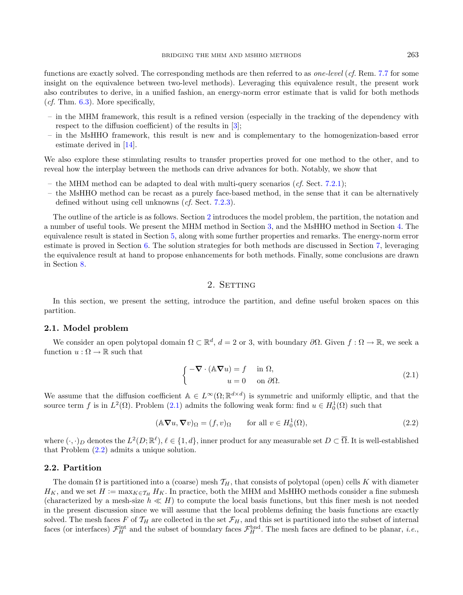functions are exactly solved. The corresponding methods are then referred to as one-level (cf. Rem. [7.7](#page-21-0) for some insight on the equivalence between two-level methods). Leveraging this equivalence result, the present work also contributes to derive, in a unified fashion, an energy-norm error estimate that is valid for both methods (*cf.* Thm.  $6.3$ ). More specifically,

- in the MHM framework, this result is a refined version (especially in the tracking of the dependency with respect to the diffusion coefficient) of the results in [\[3\]](#page-22-7);
- in the MsHHO framework, this result is new and is complementary to the homogenization-based error estimate derived in [\[14\]](#page-22-9).

We also explore these stimulating results to transfer properties proved for one method to the other, and to reveal how the interplay between the methods can drive advances for both. Notably, we show that

- the MHM method can be adapted to deal with multi-query scenarios (*cf.* Sect. [7.2.1\)](#page-17-0);
- the MsHHO method can be recast as a purely face-based method, in the sense that it can be alternatively defined without using cell unknowns (cf. Sect. [7.2.3\)](#page-19-0).

The outline of the article is as follows. Section [2](#page-2-0) introduces the model problem, the partition, the notation and a number of useful tools. We present the MHM method in Section [3,](#page-5-0) and the MsHHO method in Section [4.](#page-7-0) The equivalence result is stated in Section [5,](#page-9-1) along with some further properties and remarks. The energy-norm error estimate is proved in Section [6.](#page-10-0) The solution strategies for both methods are discussed in Section [7,](#page-14-0) leveraging the equivalence result at hand to propose enhancements for both methods. Finally, some conclusions are drawn in Section [8.](#page-22-14)

# <span id="page-2-2"></span>2. SETTING

<span id="page-2-0"></span>In this section, we present the setting, introduce the partition, and define useful broken spaces on this partition.

# 2.1. Model problem

<span id="page-2-1"></span>We consider an open polytopal domain  $\Omega \subset \mathbb{R}^d$ ,  $d = 2$  or 3, with boundary  $\partial \Omega$ . Given  $f : \Omega \to \mathbb{R}$ , we seek a function  $u : \Omega \to \mathbb{R}$  such that

$$
\begin{cases}\n-\nabla \cdot (\mathbb{A} \nabla u) = f & \text{in } \Omega, \\
u = 0 & \text{on } \partial \Omega.\n\end{cases}
$$
\n(2.1)

We assume that the diffusion coefficient  $A \in L^{\infty}(\Omega;\mathbb{R}^{d \times d})$  is symmetric and uniformly elliptic, and that the source term f is in  $L^2(\Omega)$ . Problem [\(2.1\)](#page-2-1) admits the following weak form: find  $u \in H_0^1(\Omega)$  such that

$$
(\mathbb{A}\nabla u, \nabla v)_{\Omega} = (f, v)_{\Omega} \qquad \text{for all } v \in H_0^1(\Omega), \tag{2.2}
$$

where  $(\cdot, \cdot)_D$  denotes the  $L^2(D; \mathbb{R}^{\ell}), \ell \in \{1, d\}$ , inner product for any measurable set  $D \subset \overline{\Omega}$ . It is well-established that Problem [\(2.2\)](#page-2-2) admits a unique solution.

#### <span id="page-2-3"></span>2.2. Partition

The domain  $\Omega$  is partitioned into a (coarse) mesh  $\mathcal{T}_H$ , that consists of polytopal (open) cells K with diameter  $H_K$ , and we set  $H := \max_{K \in \mathcal{T}_H} H_K$ . In practice, both the MHM and MsHHO methods consider a fine submesh (characterized by a mesh-size  $h \ll H$ ) to compute the local basis functions, but this finer mesh is not needed in the present discussion since we will assume that the local problems defining the basis functions are exactly solved. The mesh faces F of  $\mathcal{T}_H$  are collected in the set  $\mathcal{F}_H$ , and this set is partitioned into the subset of internal faces (or interfaces)  $\mathcal{F}_H^{\text{int}}$  and the subset of boundary faces  $\mathcal{F}_H^{\text{bnd}}$ . The mesh faces are defined to be planar, *i.e.*,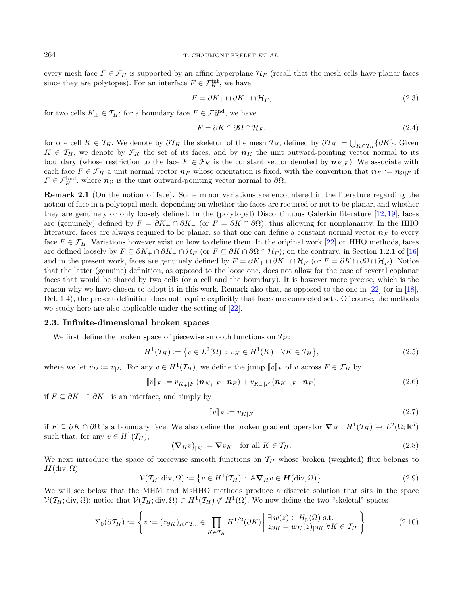every mesh face  $F \in \mathcal{F}_H$  is supported by an affine hyperplane  $\mathcal{H}_F$  (recall that the mesh cells have planar faces since they are polytopes). For an interface  $F \in \mathcal{F}_H^{\text{int}}$ , we have

$$
F = \partial K_+ \cap \partial K_- \cap \mathcal{H}_F,\tag{2.3}
$$

for two cells  $K_{\pm} \in \mathcal{T}_H$ ; for a boundary face  $F \in \mathcal{F}_H^{\text{bnd}}$ , we have

$$
F = \partial K \cap \partial \Omega \cap \mathcal{H}_F,\tag{2.4}
$$

for one cell  $K \in \mathcal{T}_H$ . We denote by  $\partial \mathcal{T}_H$  the skeleton of the mesh  $\mathcal{T}_H$ , defined by  $\partial \mathcal{T}_H := \bigcup_{K \in \mathcal{T}_H} \{\partial K\}$ . Given  $K \in \mathcal{T}_H$ , we denote by  $\mathcal{F}_K$  the set of its faces, and by  $n_K$  the unit outward-pointing vector normal to its boundary (whose restriction to the face  $F \in \mathcal{F}_K$  is the constant vector denoted by  $n_{K,F}$ ). We associate with each face  $F \in \mathcal{F}_H$  a unit normal vector  $n_F$  whose orientation is fixed, with the convention that  $n_F := n_{\Omega|F}$  if  $F \in \mathcal{F}_H^{\text{bnd}}$ , where  $n_{\Omega}$  is the unit outward-pointing vector normal to  $\partial \Omega$ .

Remark 2.1 (On the notion of face). Some minor variations are encountered in the literature regarding the notion of face in a polytopal mesh, depending on whether the faces are required or not to be planar, and whether they are genuinely or only loosely defined. In the (polytopal) Discontinuous Galerkin literature [\[12,](#page-22-15) [19\]](#page-22-16), faces are (genuinely) defined by  $F = \partial K_+ \cap \partial K_-$  (or  $F = \partial K \cap \partial \Omega$ ), thus allowing for nonplanarity. In the HHO literature, faces are always required to be planar, so that one can define a constant normal vector  $n_F$  to every face  $F \in \mathcal{F}_H$ . Variations however exist on how to define them. In the original work [\[22\]](#page-23-19) on HHO methods, faces are defined loosely by  $F \subseteq \partial K_+ \cap \partial K_- \cap \mathcal{H}_F$  (or  $F \subseteq \partial K \cap \partial \Omega \cap \mathcal{H}_F$ ); on the contrary, in Section 1.2.1 of [\[16\]](#page-22-17) and in the present work, faces are genuinely defined by  $F = \partial K_+ \cap \partial K_- \cap \mathcal{H}_F$  (or  $F = \partial K \cap \partial \Omega \cap \mathcal{H}_F$ ). Notice that the latter (genuine) definition, as opposed to the loose one, does not allow for the case of several coplanar faces that would be shared by two cells (or a cell and the boundary). It is however more precise, which is the reason why we have chosen to adopt it in this work. Remark also that, as opposed to the one in [\[22\]](#page-23-19) (or in [\[18\]](#page-22-18), Def. 1.4), the present definition does not require explicitly that faces are connected sets. Of course, the methods we study here are also applicable under the setting of [\[22\]](#page-23-19).

#### 2.3. Infinite-dimensional broken spaces

We first define the broken space of piecewise smooth functions on  $\mathcal{T}_H$ :

<span id="page-3-0"></span>
$$
H^{1}(\mathcal{T}_{H}) := \{ v \in L^{2}(\Omega) : v_{K} \in H^{1}(K) \quad \forall K \in \mathcal{T}_{H} \},
$$
\n(2.5)

where we let  $v_D := v_{|D}$ . For any  $v \in H^1(\mathcal{T}_H)$ , we define the jump  $[\![v]\!]_F$  of  $v$  across  $F \in \mathcal{F}_H$  by

$$
\llbracket v \rrbracket_F := v_{K_+|F} \left( \mathbf{n}_{K_+,F} \cdot \mathbf{n}_F \right) + v_{K_-|F} \left( \mathbf{n}_{K_-,F} \cdot \mathbf{n}_F \right) \tag{2.6}
$$

if  $F \subseteq \partial K_+ \cap \partial K_-\$  is an interface, and simply by

$$
\llbracket v \rrbracket_F := v_{K|F} \tag{2.7}
$$

if  $F \subseteq \partial K \cap \partial \Omega$  is a boundary face. We also define the broken gradient operator  $\nabla_H : H^1(\mathcal{T}_H) \to L^2(\Omega;\mathbb{R}^d)$ such that, for any  $v \in H^1(\mathcal{T}_H)$ ,

$$
(\nabla_H v)_{|K} := \nabla v_K \quad \text{for all } K \in \mathcal{T}_H.
$$
\n(2.8)

We next introduce the space of piecewise smooth functions on  $\mathcal{T}_H$  whose broken (weighted) flux belongs to  $H(\text{div}, \Omega)$ :

$$
\mathcal{V}(\mathcal{T}_H; \text{div}, \Omega) := \{ v \in H^1(\mathcal{T}_H) : \mathbb{A} \nabla_H v \in \mathbf{H}(\text{div}, \Omega) \}. \tag{2.9}
$$

We will see below that the MHM and MsHHO methods produce a discrete solution that sits in the space  $\mathcal{V}(\mathcal{T}_H; \text{div}, \Omega)$ ; notice that  $\mathcal{V}(\mathcal{T}_H; \text{div}, \Omega) \subset H^1(\mathcal{T}_H) \not\subset H^1(\Omega)$ . We now define the two "skeletal" spaces

$$
\Sigma_0(\partial \mathcal{T}_H) := \left\{ z := (z_{\partial K})_{K \in \mathcal{T}_H} \in \prod_{K \in \mathcal{T}_H} H^{1/2}(\partial K) \middle| \begin{array}{l} \exists w(z) \in H^1_0(\Omega) \text{ s.t.} \\ z_{\partial K} = w_K(z)_{|\partial K} \ \forall K \in \mathcal{T}_H \end{array} \right\},\tag{2.10}
$$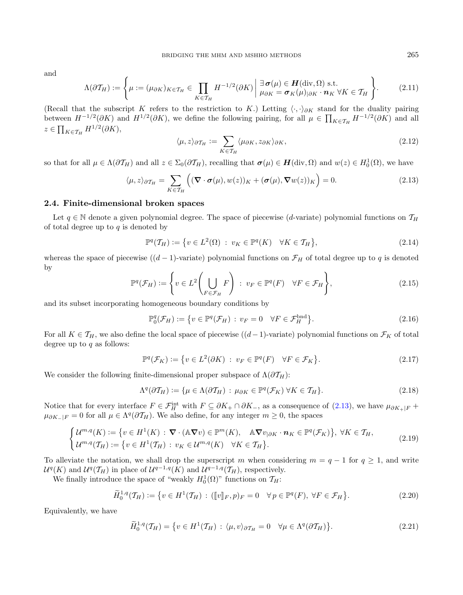and

$$
\Lambda(\partial \mathcal{T}_H) := \left\{ \mu := (\mu_{\partial K})_{K \in \mathcal{T}_H} \in \prod_{K \in \mathcal{T}_H} H^{-1/2}(\partial K) \middle| \begin{array}{l} \exists \, \sigma(\mu) \in \mathbf{H}(\text{div}, \Omega) \text{ s.t.} \\ \mu_{\partial K} = \sigma_K(\mu)_{|\partial K} \cdot \mathbf{n}_K \ \forall K \in \mathcal{T}_H \end{array} \right\}.
$$
 (2.11)

(Recall that the subscript K refers to the restriction to K.) Letting  $\langle \cdot, \cdot \rangle_{\partial K}$  stand for the duality pairing between  $H^{-1/2}(\partial K)$  and  $H^{1/2}(\partial K)$ , we define the following pairing, for all  $\mu \in \prod_{K \in \mathcal{T}_H} H^{-1/2}(\partial K)$  and all  $z \in \prod_{K \in \mathcal{T}_H} H^{1/2}(\partial K),$ 

<span id="page-4-0"></span>
$$
\langle \mu, z \rangle_{\partial \mathcal{T}_H} := \sum_{K \in \mathcal{T}_H} \langle \mu_{\partial K}, z_{\partial K} \rangle_{\partial K},\tag{2.12}
$$

so that for all  $\mu \in \Lambda(\partial \mathcal{T}_H)$  and all  $z \in \Sigma_0(\partial \mathcal{T}_H)$ , recalling that  $\sigma(\mu) \in \mathbf{H}(\text{div}, \Omega)$  and  $w(z) \in H_0^1(\Omega)$ , we have

$$
\langle \mu, z \rangle_{\partial \mathcal{T}_H} = \sum_{K \in \mathcal{T}_H} \left( (\nabla \cdot \boldsymbol{\sigma}(\mu), w(z))_K + (\boldsymbol{\sigma}(\mu), \nabla w(z))_K \right) = 0. \tag{2.13}
$$

### 2.4. Finite-dimensional broken spaces

Let  $q \in \mathbb{N}$  denote a given polynomial degree. The space of piecewise (d-variate) polynomial functions on  $\mathcal{T}_H$ of total degree up to  $q$  is denoted by

$$
\mathbb{P}^q(\mathcal{T}_H) := \{ v \in L^2(\Omega) : v_K \in \mathbb{P}^q(K) \quad \forall K \in \mathcal{T}_H \},\tag{2.14}
$$

whereas the space of piecewise  $((d - 1)$ -variate) polynomial functions on  $\mathcal{F}_H$  of total degree up to q is denoted by

$$
\mathbb{P}^q(\mathcal{F}_H) := \left\{ v \in L^2 \left( \bigcup_{F \in \mathcal{F}_H} F \right) : v_F \in \mathbb{P}^q(F) \quad \forall F \in \mathcal{F}_H \right\},\tag{2.15}
$$

and its subset incorporating homogeneous boundary conditions by

<span id="page-4-2"></span>
$$
\mathbb{P}_0^q(\mathcal{F}_H) := \{ v \in \mathbb{P}^q(\mathcal{F}_H) : v_F = 0 \quad \forall F \in \mathcal{F}_H^{\text{bnd}} \}. \tag{2.16}
$$

For all  $K \in \mathcal{T}_H$ , we also define the local space of piecewise  $((d-1)$ -variate) polynomial functions on  $\mathcal{F}_K$  of total degree up to  $q$  as follows:

$$
\mathbb{P}^q(\mathcal{F}_K) := \{ v \in L^2(\partial K) : v_F \in \mathbb{P}^q(F) \quad \forall F \in \mathcal{F}_K \}. \tag{2.17}
$$

We consider the following finite-dimensional proper subspace of  $\Lambda(\partial \mathcal{T}_H)$ :

<span id="page-4-1"></span>
$$
\Lambda^{q}(\partial \mathcal{T}_{H}) := \{ \mu \in \Lambda(\partial \mathcal{T}_{H}) : \mu_{\partial K} \in \mathbb{P}^{q}(\mathcal{F}_{K}) \,\forall K \in \mathcal{T}_{H} \}.
$$
\n(2.18)

Notice that for every interface  $F \in \mathcal{F}_H^{\text{int}}$  with  $F \subseteq \partial K_+ \cap \partial K_-,$  as a consequence of  $(2.13)$ , we have  $\mu_{\partial K_+|F}$  +  $\mu_{\partial K_-|F} = 0$  for all  $\mu \in \Lambda^q(\partial \mathcal{T}_H)$ . We also define, for any integer  $m \geq 0$ , the spaces

$$
\begin{cases}\n\mathcal{U}^{m,q}(K) := \{v \in H^1(K) : \nabla \cdot (\mathbb{A} \nabla v) \in \mathbb{P}^m(K), \quad \mathbb{A} \nabla v_{|\partial K} \cdot \mathbf{n}_K \in \mathbb{P}^q(\mathcal{F}_K)\}, \ \forall K \in \mathcal{T}_H, \\
\mathcal{U}^{m,q}(\mathcal{T}_H) := \{v \in H^1(\mathcal{T}_H) : v_K \in \mathcal{U}^{m,q}(K) \quad \forall K \in \mathcal{T}_H\}.\n\end{cases} \tag{2.19}
$$

To alleviate the notation, we shall drop the superscript m when considering  $m = q - 1$  for  $q \ge 1$ , and write  $\mathcal{U}^q(K)$  and  $\mathcal{U}^q(\mathcal{T}_H)$  in place of  $\mathcal{U}^{q-1,q}(K)$  and  $\mathcal{U}^{q-1,q}(\mathcal{T}_H)$ , respectively.

We finally introduce the space of "weakly  $H_0^1(\Omega)$ " functions on  $\mathcal{T}_H$ :

$$
\widetilde{H}^{1,q}_0(\mathcal{T}_H) := \{ v \in H^1(\mathcal{T}_H) : ([[v]]_F, p)_F = 0 \quad \forall \, p \in \mathbb{P}^q(F), \, \forall F \in \mathcal{F}_H \}. \tag{2.20}
$$

Equivalently, we have

$$
\widetilde{H}_0^{1,q}(\mathcal{T}_H) = \{ v \in H^1(\mathcal{T}_H) : \langle \mu, v \rangle_{\partial \mathcal{T}_H} = 0 \quad \forall \mu \in \Lambda^q(\partial \mathcal{T}_H) \}. \tag{2.21}
$$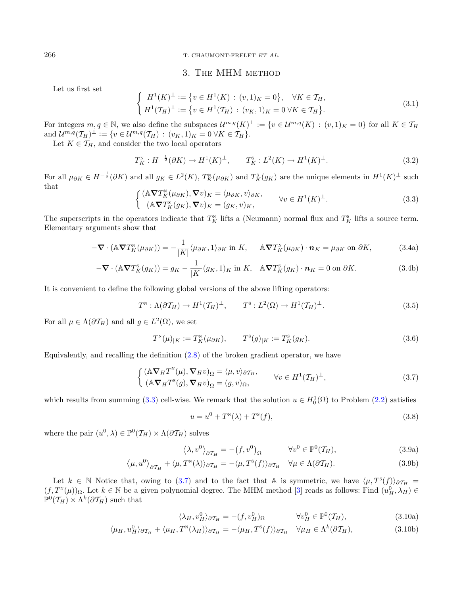#### <span id="page-5-6"></span>266 T. CHAUMONT-FRELET ET AL.

# <span id="page-5-5"></span>3. The MHM method

<span id="page-5-1"></span>Let us first set

<span id="page-5-4"></span>
$$
\begin{cases} H^{1}(K)^{\perp} := \{ v \in H^{1}(K) : (v,1)_{K} = 0 \}, & \forall K \in \mathcal{T}_{H}, \\ H^{1}(\mathcal{T}_{H})^{\perp} := \{ v \in H^{1}(\mathcal{T}_{H}) : (v_{K},1)_{K} = 0 \,\forall K \in \mathcal{T}_{H} \}. \end{cases}
$$
\n(3.1)

For integers  $m, q \in \mathbb{N}$ , we also define the subspaces  $\mathcal{U}^{m,q}(K)^{\perp} := \{v \in \mathcal{U}^{m,q}(K) : (v,1)_K = 0\}$  for all  $K \in \mathcal{T}_H$ and  $\mathcal{U}^{m,q}(\mathcal{T}_H)^{\perp} := \{ v \in \mathcal{U}^{m,q}(\mathcal{T}_H) : (v_K, 1)_K = 0 \ \forall K \in \mathcal{T}_H \}.$ 

Let  $K \in \mathcal{T}_H$ , and consider the two local operators

$$
T_K^N : H^{-\frac{1}{2}}(\partial K) \to H^1(K)^{\perp}, \qquad T_K^S : L^2(K) \to H^1(K)^{\perp}.
$$
 (3.2)

For all  $\mu_{\partial K} \in H^{-\frac{1}{2}}(\partial K)$  and all  $g_K \in L^2(K)$ ,  $T_K^{\scriptscriptstyle\rm N}(\mu_{\partial K})$  and  $T_K^{\scriptscriptstyle\rm S}(g_K)$  are the unique elements in  $H^1(K)^{\perp}$  such that

$$
\begin{cases}\n(\mathbb{A}\nabla T_K^{\scriptscriptstyle{\mathrm{N}}}(\mu_{\partial K}), \nabla v)_K = \langle \mu_{\partial K}, v \rangle_{\partial K}, \\
(\mathbb{A}\nabla T_K^{\scriptscriptstyle{\mathrm{S}}}(g_K), \nabla v)_K = (g_K, v)_K,\n\end{cases} \forall v \in H^1(K)^{\perp}.
$$
\n(3.3)

The superscripts in the operators indicate that  $T_K^N$  lifts a (Neumann) normal flux and  $T_K^s$  lifts a source term. Elementary arguments show that

$$
-\nabla \cdot (\mathbb{A} \nabla T_K^N(\mu_{\partial K})) = -\frac{1}{|K|} \langle \mu_{\partial K}, 1 \rangle_{\partial K} \text{ in } K, \quad \mathbb{A} \nabla T_K^N(\mu_{\partial K}) \cdot \mathbf{n}_K = \mu_{\partial K} \text{ on } \partial K,
$$
 (3.4a)

$$
-\nabla \cdot (\mathbb{A} \nabla T_K^{\mathsf{s}}(g_K)) = g_K - \frac{1}{|K|} (g_K, 1)_K \text{ in } K, \quad \mathbb{A} \nabla T_K^{\mathsf{s}}(g_K) \cdot \mathbf{n}_K = 0 \text{ on } \partial K. \tag{3.4b}
$$

It is convenient to define the following global versions of the above lifting operators:

$$
T^{\scriptscriptstyle\rm N}: \Lambda(\partial \mathcal{T}_H) \to H^1(\mathcal{T}_H)^{\perp}, \qquad T^{\scriptscriptstyle\rm S}: L^2(\Omega) \to H^1(\mathcal{T}_H)^{\perp}.
$$
 (3.5)

For all  $\mu \in \Lambda(\partial \mathcal{T}_H)$  and all  $g \in L^2(\Omega)$ , we set

<span id="page-5-2"></span>
$$
T^{\mathcal{N}}(\mu)_{|K} := T^{\mathcal{N}}_K(\mu_{\partial K}), \qquad T^{\mathcal{S}}(g)_{|K} := T^{\mathcal{S}}_K(g_K). \tag{3.6}
$$

Equivalently, and recalling the definition [\(2.8\)](#page-3-0) of the broken gradient operator, we have

<span id="page-5-3"></span>
$$
\begin{cases}\n(\mathbb{A}\nabla_H T^{\mathbb{N}}(\mu), \nabla_H v)_{\Omega} = \langle \mu, v \rangle_{\partial \mathcal{T}_H}, & \forall v \in H^1(\mathcal{T}_H)^{\perp}, \\
(\mathbb{A}\nabla_H T^{\mathbb{N}}(g), \nabla_H v)_{\Omega} = (g, v)_{\Omega}, & \forall v \in H^1(\mathcal{T}_H)^{\perp},\n\end{cases}
$$
\n(3.7)

which results from summing [\(3.3\)](#page-5-1) cell-wise. We remark that the solution  $u \in H_0^1(\Omega)$  to Problem [\(2.2\)](#page-2-2) satisfies

$$
u = u^{0} + T^{\mathcal{N}}(\lambda) + T^{\mathcal{S}}(f), \tag{3.8}
$$

where the pair  $(u^0, \lambda) \in \mathbb{P}^0(\mathcal{T}_H) \times \Lambda(\partial \mathcal{T}_H)$  solves

$$
\langle \lambda, v^0 \rangle_{\partial \mathcal{T}_H} = -(f, v^0)_{\Omega} \qquad \forall v^0 \in \mathbb{P}^0(\mathcal{T}_H), \tag{3.9a}
$$

$$
\langle \mu, u^0 \rangle_{\partial \mathcal{T}_H} + \langle \mu, T^{\mathcal{N}}(\lambda) \rangle_{\partial \mathcal{T}_H} = -\langle \mu, T^{\mathcal{S}}(f) \rangle_{\partial \mathcal{T}_H} \quad \forall \mu \in \Lambda(\partial \mathcal{T}_H). \tag{3.9b}
$$

Let  $k \in \mathbb{N}$  Notice that, owing to [\(3.7\)](#page-5-2) and to the fact that A is symmetric, we have  $\langle \mu, T^s(f) \rangle_{\partial \mathcal{T}_H} =$  $(f, T^{\scriptscriptstyle N}(\mu))_{\Omega}$ . Let  $k \in \mathbb{N}$  be a given polynomial degree. The MHM method [\[3\]](#page-22-7) reads as follows: Find  $(u_H^0, \lambda_H) \in$  $\mathbb{P}^0(\mathcal{T}_H) \times \Lambda^k(\partial \mathcal{T}_H)$  such that

$$
\langle \lambda_H, v_H^0 \rangle_{\partial \mathcal{T}_H} = -(f, v_H^0)_{\Omega} \qquad \forall v_H^0 \in \mathbb{P}^0(\mathcal{T}_H), \tag{3.10a}
$$

$$
\langle \mu_H, u_H^0 \rangle_{\partial \mathcal{T}_H} + \langle \mu_H, T^{\mathbb{N}}(\lambda_H) \rangle_{\partial \mathcal{T}_H} = -\langle \mu_H, T^{\mathbb{S}}(f) \rangle_{\partial \mathcal{T}_H} \quad \forall \mu_H \in \Lambda^k(\partial \mathcal{T}_H),
$$
\n(3.10b)

<span id="page-5-0"></span>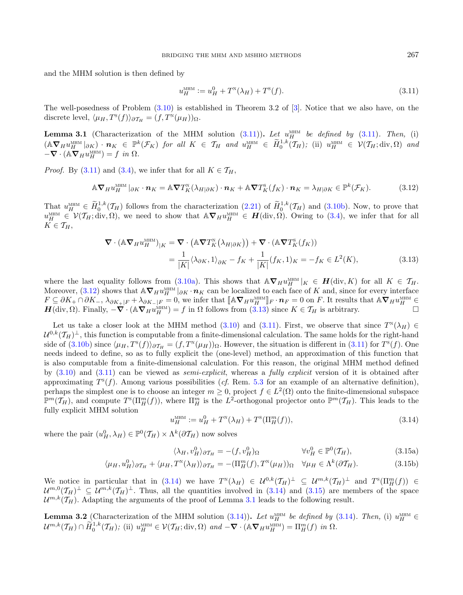and the MHM solution is then defined by

<span id="page-6-2"></span><span id="page-6-1"></span><span id="page-6-0"></span>
$$
u_H^{\text{MHM}} := u_H^0 + T^{\text{N}}(\lambda_H) + T^{\text{S}}(f). \tag{3.11}
$$

The well-posedness of Problem [\(3.10\)](#page-5-3) is established in Theorem 3.2 of [\[3\]](#page-22-7). Notice that we also have, on the discrete level,  $\langle \mu_H, T^s(f) \rangle_{\partial \mathcal{T}_H} = (f, T^s(\mu_H))_{\Omega}.$ 

<span id="page-6-5"></span>**Lemma 3.1** (Characterization of the MHM solution  $(3.11)$ ). Let  $u_H^{\text{MHM}}$  be defined by  $(3.11)$ . Then, (i)  $(\mathbb{A}\nabla_H u_H^{\text{MHM}}|_{\partial K}) \cdot \mathbf{n}_K \in \mathbb{P}^k(\mathcal{F}_K)$  for all  $K \in \mathcal{T}_H$  and  $u_H^{\text{MHM}} \in \widetilde{H}_0^{1,k}(\mathcal{T}_H);$  (ii)  $u_H^{\text{MHM}} \in \mathcal{V}(\mathcal{T}_H; \text{div}, \Omega)$  and  $-\nabla \cdot (\mathbb{A} \nabla_H u_H^{\text{MHM}}) = f$  in  $\Omega$ .

*Proof.* By [\(3.11\)](#page-6-0) and [\(3.4\)](#page-5-4), we infer that for all  $K \in \mathcal{T}_H$ ,

$$
\mathbb{A}\nabla_H u_H^{\text{MHM}}|_{\partial K} \cdot \boldsymbol{n}_K = \mathbb{A}\nabla T_K^{\text{N}}(\lambda_{H|\partial K}) \cdot \boldsymbol{n}_K + \mathbb{A}\nabla T_K^{\text{S}}(f_K) \cdot \boldsymbol{n}_K = \lambda_{H|\partial K} \in \mathbb{P}^k(\mathcal{F}_K). \tag{3.12}
$$

That  $u_H^{\text{MHM}} \in \widetilde{H}_0^{1,k}(\mathcal{T}_H)$  follows from the characterization [\(2.21\)](#page-4-1) of  $\widetilde{H}_0^{1,k}(\mathcal{T}_H)$  and [\(3.10b\)](#page-5-5). Now, to prove that  $u_H^{\text{MHM}} \in \mathcal{V}(\mathcal{T}_H; \text{div}, \Omega)$ , we need to show that  $\mathbb{A} \nabla_H u_H^{\text{MHM}} \in \mathcal{H}(\text{div}, \Omega)$ . Owing to [\(3.4\)](#page-5-4), we infer that for all  $K \in \mathcal{T}_H$ ,

<span id="page-6-3"></span>
$$
\nabla \cdot (\mathbb{A} \nabla_H u_H^{\text{MHM}})|_K = \nabla \cdot (\mathbb{A} \nabla T_K^{\text{N}}(\lambda_{H|\partial K})) + \nabla \cdot (\mathbb{A} \nabla T_K^{\text{S}}(f_K))
$$
  
= 
$$
\frac{1}{|K|} \langle \lambda_{\partial K}, 1 \rangle_{\partial K} - f_K + \frac{1}{|K|} (f_K, 1)_K = -f_K \in L^2(K),
$$
(3.13)

where the last equality follows from [\(3.10a\)](#page-5-6). This shows that  $\mathbb{A}\nabla_H u_H^{\text{MHM}}|_K \in H(\text{div}, K)$  for all  $K \in \mathcal{T}_H$ . Moreover, [\(3.12\)](#page-6-1) shows that  $\mathbb{A} \nabla_H u_H^{\text{MHM}}|_{\partial K} \cdot \boldsymbol{n}_K$  can be localized to each face of K and, since for every interface  $F \subseteq \partial K_+ \cap \partial K_-, \lambda_{\partial K_+|F} + \lambda_{\partial K_-|F} = 0$ , we infer that  $\llbracket A \nabla_H u_H^{\text{MHM}} \rrbracket_F \cdot n_F = 0$  on F. It results that  $A \nabla_H u_H^{\text{MHM}} \in \mathcal{F}$ <br>  $H(\text{div }\Omega)$ . Finally  $-\nabla \cdot (A \nabla_{TM} u_H^{\text{MHM}}) = f$  in Q follows from (3.13) since  $H(\text{div}, \Omega)$ . Finally,  $-\nabla \cdot (\mathbb{A} \nabla_H u_H^{\text{MHM}}) = f$  in  $\Omega$  follows from  $(3.13)$  since  $K \in \mathcal{T}_H$  is arbitrary.

Let us take a closer look at the MHM method [\(3.10\)](#page-5-3) and [\(3.11\)](#page-6-0). First, we observe that since  $T^N(\lambda_H) \in$  $\mathcal{U}^{0,k}(\mathcal{T}_H)^{\perp}$ , this function is computable from a finite-dimensional calculation. The same holds for the right-hand side of  $(3.10b)$  since  $\langle \mu_H, T^s(f) \rangle_{\partial T_H} = (f, T^s(\mu_H))_{\Omega}$ . However, the situation is different in  $(3.11)$  for  $T^s(f)$ . One needs indeed to define, so as to fully explicit the (one-level) method, an approximation of this function that is also computable from a finite-dimensional calculation. For this reason, the original MHM method defined by [\(3.10\)](#page-5-3) and [\(3.11\)](#page-6-0) can be viewed as semi-explicit, whereas a fully explicit version of it is obtained after approximating  $T^{s}(f)$ . Among various possibilities (cf. Rem. [5.3](#page-9-2) for an example of an alternative definition), perhaps the simplest one is to choose an integer  $m \geq 0$ , project  $f \in L^2(\Omega)$  onto the finite-dimensional subspace  $\mathbb{P}^m(\mathcal{T}_H)$ , and compute  $T^s(\Pi_H^m(f))$ , where  $\Pi_H^m$  is the  $L^2$ -orthogonal projector onto  $\mathbb{P}^m(\mathcal{T}_H)$ . This leads to the fully explicit MHM solution

<span id="page-6-4"></span>
$$
u_H^{\text{MHM}} := u_H^0 + T^{\text{N}}(\lambda_H) + T^{\text{S}}(\Pi_H^m(f)),
$$
\n(3.14)

where the pair  $(u_H^0, \lambda_H) \in \mathbb{P}^0(\mathcal{T}_H) \times \Lambda^k(\partial \mathcal{T}_H)$  now solves

$$
\langle \lambda_H, v_H^0 \rangle_{\partial \mathcal{T}_H} = -(f, v_H^0)_{\Omega} \qquad \forall v_H^0 \in \mathbb{P}^0(\mathcal{T}_H), \tag{3.15a}
$$

$$
\langle \mu_H, u_H^0 \rangle_{\partial \mathcal{T}_H} + \langle \mu_H, T^{\mathbb{N}}(\lambda_H) \rangle_{\partial \mathcal{T}_H} = -(\Pi_H^m(f), T^{\mathbb{N}}(\mu_H))_{\Omega} \quad \forall \mu_H \in \Lambda^k(\partial \mathcal{T}_H). \tag{3.15b}
$$

We notice in particular that in [\(3.14\)](#page-6-3) we have  $T^N(\lambda_H) \in \mathcal{U}^{0,k}(\mathcal{T}_H)^{\perp} \subseteq \mathcal{U}^{m,k}(\mathcal{T}_H)^{\perp}$  and  $T^s(\Pi_H^m(f)) \in$  $\mathcal{U}^{m,0}(\mathcal{T}_H)^{\perp} \subseteq \mathcal{U}^{m,k}(\mathcal{T}_H)^{\perp}$ . Thus, all the quantities involved in  $(3.14)$  and  $(3.15)$  are members of the space  $\mathcal{U}^{m,k}(\mathcal{T}_H)$ . Adapting the arguments of the proof of Lemma [3.1](#page-6-5) leads to the following result.

<span id="page-6-6"></span>**Lemma 3.2** (Characterization of the MHM solution [\(3.14\)](#page-6-3)). Let  $u_H^{\text{MHM}}$  be defined by (3.14). Then, (i)  $u_H^{\text{MHM}}$  $\mathcal{U}^{m,k}(\mathcal{T}_H) \cap \widetilde{H}_0^{1,k}(\mathcal{T}_H);$  (ii)  $u_H^{\text{MHM}} \in \mathcal{V}(\mathcal{T}_H; \text{div}, \Omega)$  and  $-\nabla \cdot (\mathbb{A} \nabla_H u_H^{\text{MHM}}) = \Pi_H^m(f)$  in  $\Omega$ .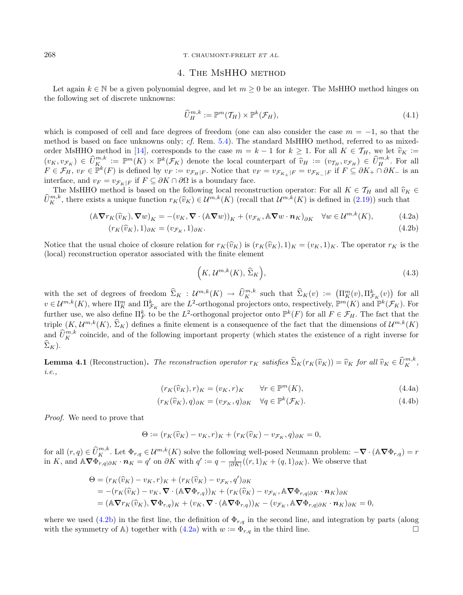#### 268 T. CHAUMONT-FRELET ET AL.

# <span id="page-7-2"></span>4. The MsHHO method

Let again  $k \in \mathbb{N}$  be a given polynomial degree, and let  $m \geq 0$  be an integer. The MsHHO method hinges on the following set of discrete unknowns:

<span id="page-7-3"></span><span id="page-7-1"></span>
$$
\widehat{U}_{H}^{m,k} := \mathbb{P}^{m}(T_{H}) \times \mathbb{P}^{k}(\mathcal{F}_{H}), \qquad (4.1)
$$

which is composed of cell and face degrees of freedom (one can also consider the case  $m = -1$ , so that the method is based on face unknowns only; cf. Rem. [5.4\)](#page-9-3). The standard MsHHO method, referred to as mixed-order MsHHO method in [\[14\]](#page-22-9), corresponds to the case  $m = k - 1$  for  $k \ge 1$ . For all  $K \in \mathcal{T}_H$ , we let  $\hat{v}_K :=$  $(v_K, v_{\mathcal{F}_K}) \in \widehat{U}_K^{m,k} := \mathbb{P}^m(K) \times \mathbb{P}^k(\mathcal{F}_K)$  denote the local counterpart of  $\widehat{v}_H := (v_{\mathcal{T}_H}, v_{\mathcal{F}_H}) \in \widehat{U}_K^{m,k}$ . For all  $F \in \mathcal{F}_K$ ,  $v_H \in \mathbb{P}^k(K)$  is defined by  $v_H := v_{\mathcal{F}_K}$ . Notice that  $v_H =$  $F \in \mathcal{F}_H$ ,  $v_F \in \overline{\mathbb{P}}^k(F)$  is defined by  $v_F := v_{\mathcal{F}_H|F}$ . Notice that  $v_F = v_{\mathcal{F}_{K_+}|F} = v_{\mathcal{F}_{K_-}|F}$  if  $F \subseteq \partial K_+ \cap \partial K_-$  is an interface, and  $v_F = v_{\mathcal{F}_K|F}$  if  $F \subseteq \partial K \cap \partial \Omega$  is a boundary face.

The MsHHO method is based on the following local reconstruction operator: For all  $K \in \mathcal{T}_H$  and all  $\hat{v}_K \in$ <br> $n^h$ , there exists a unique function  $r_{\mathcal{U}}(\hat{v}_K) \in \mathcal{U}^{m,k}(K)$  (recall that  $\mathcal{U}^{m,k}(K)$  is defined  $\widehat{U}_{K}^{m,k}$ , there exists a unique function  $r_K(\widehat{v}_K) \in \mathcal{U}^{m,k}(K)$  (recall that  $\mathcal{U}^{m,k}(K)$  is defined in  $(2.19)$ ) such that

$$
(\mathbb{A}\nabla r_K(\widehat{v}_K), \nabla w)_K = -(v_K, \nabla \cdot (\mathbb{A}\nabla w))_K + (v_{\mathcal{F}_K}, \mathbb{A}\nabla w \cdot \mathbf{n}_K)_{\partial K} \quad \forall w \in \mathcal{U}^{m,k}(K),\tag{4.2a}
$$

$$
(r_K(\widehat{v}_K), 1)_{\partial K} = (v_{\mathcal{F}_K}, 1)_{\partial K}.
$$
\n(4.2b)

Notice that the usual choice of closure relation for  $r_K(\hat{v}_K)$  is  $(r_K(\hat{v}_K), 1)_K = (v_K, 1)_K$ . The operator  $r_K$  is the (local) reconstruction operator associated with the finite element

$$
(K, \mathcal{U}^{m,k}(K), \widehat{\Sigma}_K), \tag{4.3}
$$

with the set of degrees of freedom  $\widehat{\Sigma}_K : \mathcal{U}^{m,k}(K) \to \widehat{U}^{m,k}_K$  such that  $\widehat{\Sigma}_K(v) := (\Pi_K^m(v), \Pi_{\mathcal{F}_K}^k(v))$  for all  $v \in \mathcal{U}^{m,k}(K)$ , where  $\Pi_K^m$  and  $\Pi_{\mathcal{F}_K}^k$  are the  $L^2$ -orthogonal projectors onto, respectively,  $\mathbb{P}^m(K)$  and  $\mathbb{P}^k(\mathcal{F}_K)$ . For further use, we also define  $\Pi_F^k$  to be the  $L^2$ -orthogonal projector onto  $\mathbb{P}^k(F)$  for all  $F \in \mathcal{F}_H$ . The fact that the triple  $(K, \mathcal{U}^{m,k}(K), \Sigma_K)$  defines a finite element is a consequence of the fact that the dimensions of  $\mathcal{U}^{m,k}(K)$ and  $\hat{U}_{K}^{m,k}$  coincide, and of the following important property (which states the existence of a right inverse for  $\Sigma_K$ ).

**Lemma 4.1** (Reconstruction). The reconstruction operator  $r_K$  satisfies  $\widehat{\Sigma}_K(r_K(\widehat{v}_K)) = \widehat{v}_K$  for all  $\widehat{v}_K \in \widehat{U}_K^{m,k}$ , i.e.,

$$
(r_K(\widehat{v}_K), r)_K = (v_K, r)_K \qquad \forall r \in \mathbb{P}^m(K),
$$
\n(4.4a)

$$
(r_K(\widehat{v}_K), q)_{\partial K} = (v_{\mathcal{F}_K}, q)_{\partial K} \quad \forall q \in \mathbb{P}^k(\mathcal{F}_K). \tag{4.4b}
$$

Proof. We need to prove that

$$
\Theta := (r_K(\widehat{v}_K) - v_K, r)_K + (r_K(\widehat{v}_K) - v_{\mathcal{F}_K}, q)_{\partial K} = 0,
$$

for all  $(r, q) \in \widehat{U}_{K}^{m,k}$ . Let  $\Phi_{r,q} \in \mathcal{U}^{m,k}(K)$  solve the following well-posed Neumann problem:  $-\nabla \cdot (\mathbb{A} \nabla \Phi_{r,q}) = r$ in K, and  $\mathbb{A} \nabla \Phi_{r,q|\partial K}^{\bullet} \cdot \mathbf{n}_K = q'$  on  $\partial K$  with  $q' := q - \frac{1}{|\partial K|}((r,1)_K + (q,1)_{\partial K})$ . We observe that

$$
\Theta = (r_K(\widehat{v}_K) - v_K, r)_K + (r_K(\widehat{v}_K) - v_{\mathcal{F}_K}, q')_{\partial K}
$$
  
= -(r\_K(\widehat{v}\_K) - v\_K, \nabla \cdot (\mathbb{A} \nabla \Phi\_{r,q}))\_K + (r\_K(\widehat{v}\_K) - v\_{\mathcal{F}\_K}, \mathbb{A} \nabla \Phi\_{r,q|\partial K} \cdot n\_K)\_{\partial K}  
= (\mathbb{A} \nabla r\_K(\widehat{v}\_K), \nabla \Phi\_{r,q})\_K + (v\_K, \nabla \cdot (\mathbb{A} \nabla \Phi\_{r,q}))\_K - (v\_{\mathcal{F}\_K}, \mathbb{A} \nabla \Phi\_{r,q|\partial K} \cdot n\_K)\_{\partial K} = 0,

where we used  $(4.2b)$  in the first line, the definition of  $\Phi_{r,q}$  in the second line, and integration by parts (along with the symmetry of A) together with [\(4.2a\)](#page-7-2) with  $w := \Phi_{r,q}$  in the third line.

<span id="page-7-0"></span>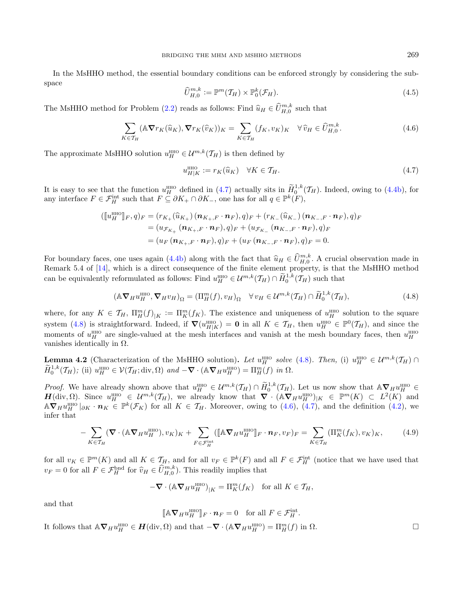In the MsHHO method, the essential boundary conditions can be enforced strongly by considering the subspace

<span id="page-8-2"></span><span id="page-8-0"></span>
$$
\widehat{U}_{H,0}^{m,k} := \mathbb{P}^m(\mathcal{T}_H) \times \mathbb{P}_0^k(\mathcal{F}_H). \tag{4.5}
$$

The MsHHO method for Problem [\(2.2\)](#page-2-2) reads as follows: Find  $\widehat{u}_H \in \widehat{U}_{H,0}^{m,k}$  such that

$$
\sum_{K \in \mathcal{T}_H} (\mathbb{A} \nabla r_K(\widehat{u}_K), \nabla r_K(\widehat{v}_K))_K = \sum_{K \in \mathcal{T}_H} (f_K, v_K)_K \quad \forall \widehat{v}_H \in \widehat{U}_{H,0}^{m,k}.
$$
\n(4.6)

The approximate MsHHO solution  $u_H^{\text{HHO}} \in \mathcal{U}^{m,k}(\mathcal{T}_H)$  is then defined by

<span id="page-8-1"></span>
$$
u_{H|K}^{\text{HHO}} := r_K(\hat{u}_K) \quad \forall K \in \mathcal{T}_H. \tag{4.7}
$$

It is easy to see that the function  $u_H^{\text{HHO}}$  defined in [\(4.7\)](#page-8-0) actually sits in  $\widetilde{H}_0^{1,k}(\mathcal{T}_H)$ . Indeed, owing to [\(4.4b\)](#page-7-1), for any interface  $F \in \mathcal{F}_H^{\text{int}}$  such that  $F \subseteq \partial K_+ \cap \partial K_-\$ , one has for all  $q \in \mathbb{P}^k(F)$ ,

$$
\begin{aligned} (\llbracket u_H^{\text{HHO}} \rrbracket_F, q)_F &= (r_{K_+}(\widehat{u}_{K_+}) \, (\bm{n}_{K_+,F} \cdot \bm{n}_F), q)_F + (r_{K_-}(\widehat{u}_{K_-}) \, (\bm{n}_{K_-,F} \cdot \bm{n}_F), q)_F \\ &= (u_{\mathcal{F}_{K_+}} \, (\bm{n}_{K_+,F} \cdot \bm{n}_F), q)_F + (u_{\mathcal{F}_{K_-}} \, (\bm{n}_{K_-,F} \cdot \bm{n}_F), q)_F \\ &= (u_F \, (\bm{n}_{K_+,F} \cdot \bm{n}_F), q)_F + (u_F \, (\bm{n}_{K_-,F} \cdot \bm{n}_F), q)_F = 0. \end{aligned}
$$

For boundary faces, one uses again [\(4.4b\)](#page-7-1) along with the fact that  $\hat{u}_H \in \hat{U}_{H,0}^{m,k}$ . A crucial observation made in<br>Bomark 5.4 of [14], which is a direct consequence of the finite element property is that the MsHHO Remark 5.4 of [\[14\]](#page-22-9), which is a direct consequence of the finite element property, is that the MsHHO method can be equivalently reformulated as follows: Find  $u_H^{\text{HHO}} \in \mathcal{U}^{m,k}(\mathcal{T}_H) \cap \widetilde{H}_0^{1,k}(\mathcal{T}_H)$  such that

$$
(\mathbb{A}\nabla_H u_H^{\text{HHO}}, \nabla_H v_H)_{\Omega} = (\Pi_H^m(f), v_H)_{\Omega} \quad \forall v_H \in \mathcal{U}^{m,k}(\mathcal{T}_H) \cap \widetilde{H}_0^{1,k}(\mathcal{T}_H),
$$
\n(4.8)

<span id="page-8-4"></span>where, for any  $K \in \mathcal{T}_H$ ,  $\Pi_H^m(f)_{|K} := \Pi_K^m(f_K)$ . The existence and uniqueness of  $u_H^{\text{HHO}}$  solution to the square system [\(4.8\)](#page-8-1) is straightforward. Indeed, if  $\nabla(u_{H|K}^{\text{HHO}}) = \mathbf{0}$  in all  $K \in \mathcal{T}_H$ , then  $u_H^{\text{HHO}} \in \mathbb{P}^0(\mathcal{T}_H)$ , and since the moments of  $u_H^{\text{HHO}}$  are single-valued at the mesh interfaces and vanish at the mesh boundary faces, then  $u_H^{\text{HHO}}$ vanishes identically in  $\Omega$ .

<span id="page-8-3"></span>**Lemma 4.2** (Characterization of the MsHHO solution). Let  $u_H^{\text{HHO}}$  solve [\(4.8\)](#page-8-1). Then, (i)  $u_H^{\text{HHO}} \in \mathcal{U}^{m,k}(\mathcal{T}_H) \cap$  $\widetilde{H}^{1,k}_0(\mathcal{T}_H)$ ; (ii)  $u^{\text{HHO}}_H \in \mathcal{V}(\mathcal{T}_H; \text{div}, \Omega)$  and  $-\nabla \cdot (\mathbb{A} \nabla_H u^{\text{HHO}}_H) = \Pi^m_H(f)$  in  $\Omega$ .

*Proof.* We have already shown above that  $u_H^{\text{HHO}} \in \mathcal{U}^{m,k}(\mathcal{T}_H) \cap \widetilde{H}_0^{1,k}(\mathcal{T}_H)$ . Let us now show that  $\mathbb{A}\nabla_H u_H^{\text{HHO}} \in \mathcal{U}^{m,k}(\mathcal{T}_H)$  $H(\text{div}, \Omega)$ . Since  $u_H^{\text{HHO}} \in \mathcal{U}^{m,k}(\mathcal{T}_H)$ , we already know that  $\nabla \cdot (\mathbb{A} \nabla_H u_H^{\text{HHO}})_{|K} \in \mathbb{P}^m(K) \subset L^2(K)$  and  $\mathbb{A} \nabla_H u_H^{\text{HHO}}|_{\partial K} \cdot \mathbf{n}_K \in \mathbb{P}^k(\mathcal{F}_K)$  for all  $K \in \mathcal{T}_H$ . Moreover, owing to [\(4.6\)](#page-8-2), [\(4.7\)](#page-8-0), and the definition [\(4.2\)](#page-7-1), we infer that

$$
-\sum_{K\in\mathcal{T}_H} (\mathbf{\nabla}\cdot(\mathbb{A}\mathbf{\nabla}_H u_H^{\text{HHO}}), v_K)_K + \sum_{F\in\mathcal{F}_H^{\text{int}}} (\llbracket \mathbb{A}\mathbf{\nabla}_H u_H^{\text{HHO}} \rrbracket_F \cdot \mathbf{n}_F, v_F)_F = \sum_{K\in\mathcal{T}_H} (\Pi_K^m(f_K), v_K)_K, \tag{4.9}
$$

for all  $v_K \in \mathbb{P}^m(K)$  and all  $K \in \mathcal{T}_H$ , and for all  $v_F \in \mathbb{P}^k(F)$  and all  $F \in \mathcal{F}_H^{\text{int}}$  (notice that we have used that  $v_F = 0$  for all  $F \in \mathcal{F}_H^{\text{bnd}}$  for  $\widehat{v}_H \in \widehat{U}_{H,0}^{m,k}$ . This readily implies that

$$
-\nabla \cdot (\mathbb{A} \nabla_H u_H^{\text{HHO}})_{|K} = \Pi_K^m(f_K) \quad \text{for all } K \in \mathcal{T}_H,
$$

and that

$$
[\![\mathbb{A}\nabla_H u_H^{\text{HHO}}]\!]_F \cdot \boldsymbol{n}_F = 0 \quad \text{for all } F \in \mathcal{F}_H^{\text{int}}.
$$

It follows that  $\mathbb{A} \nabla_H u_H^{\text{HHO}} \in \mathbf{H}(\text{div}, \Omega)$  and that  $-\nabla \cdot (\mathbb{A} \nabla_H u_H^{\text{HHO}}) = \Pi_H^m(f)$  in  $\Omega$ .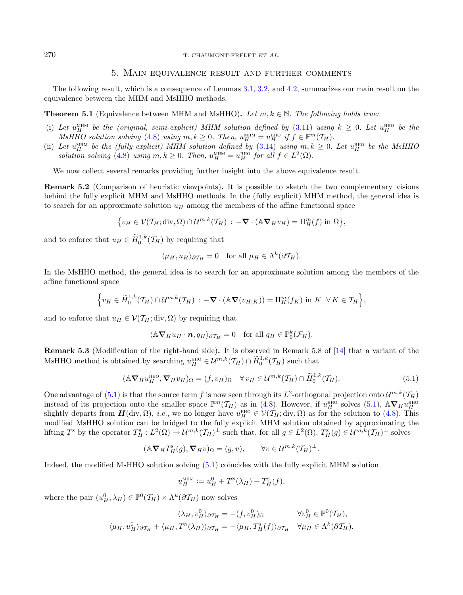# 5. Main equivalence result and further comments

<span id="page-9-1"></span>The following result, which is a consequence of Lemmas [3.1,](#page-6-5) [3.2,](#page-6-6) and [4.2,](#page-8-3) summarizes our main result on the equivalence between the MHM and MsHHO methods.

<span id="page-9-0"></span>**Theorem 5.1** (Equivalence between MHM and MsHHO). Let  $m, k \in \mathbb{N}$ . The following holds true:

- (i) Let  $u_H^{\text{MHM}}$  be the (original, semi-explicit) MHM solution defined by [\(3.11\)](#page-6-0) using  $k \geq 0$ . Let  $u_H^{\text{HHO}}$  be the MsHHO solution solving [\(4.8\)](#page-8-1) using  $m, k \geq 0$ . Then,  $u_H^{\text{MHM}} = u_H^{\text{HHO}}$  if  $f \in \mathbb{P}^m(\mathcal{T}_H)$ .
- (ii) Let  $u_H^{\text{MHM}}$  be the (fully explicit) MHM solution defined by  $(3.14)$  using  $m, k \geq 0$ . Let  $u_H^{\text{HHO}}$  be the MsHHC solution solving [\(4.8\)](#page-8-1) using  $m, k \ge 0$ . Then,  $u_H^{\text{MHM}} = u_H^{\text{HHO}}$  for all  $f \in L^2(\Omega)$ .

We now collect several remarks providing further insight into the above equivalence result.

<span id="page-9-5"></span>Remark 5.2 (Comparison of heuristic viewpoints). It is possible to sketch the two complementary visions behind the fully explicit MHM and MsHHO methods. In the (fully explicit) MHM method, the general idea is to search for an approximate solution  $u_H$  among the members of the affine functional space

$$
\{v_H \in \mathcal{V}(\mathcal{T}_H; \text{div}, \Omega) \cap \mathcal{U}^{m,k}(\mathcal{T}_H) : -\nabla \cdot (\mathbb{A} \nabla_H v_H) = \Pi_H^m(f) \text{ in } \Omega\},\
$$

and to enforce that  $u_H \in \widetilde{H}^{1,k}_0(\mathcal{T}_H)$  by requiring that

<span id="page-9-4"></span>
$$
\langle \mu_H, u_H \rangle_{\partial \mathcal{T}_H} = 0
$$
 for all  $\mu_H \in \Lambda^k(\partial \mathcal{T}_H)$ .

In the MsHHO method, the general idea is to search for an approximate solution among the members of the affine functional space

$$
\Big\{v_H\in \widetilde{H}^{1,k}_0(\mathcal{T}_H)\cap \mathcal{U}^{m,k}(\mathcal{T}_H): -\nabla\cdot(\mathbb{A}\nabla(v_{H|K}))=\Pi_K^m(f_K)\text{ in }K\ \ \forall K\in \mathcal{T}_H\Big\},\
$$

and to enforce that  $u_H \in \mathcal{V}(\mathcal{T}_H; \text{div}, \Omega)$  by requiring that

$$
\langle \mathbb{A} \nabla_H u_H \cdot \mathbf{n}, q_H \rangle_{\partial \mathcal{T}_H} = 0 \quad \text{for all } q_H \in \mathbb{P}_0^k(\mathcal{F}_H).
$$

<span id="page-9-2"></span>Remark 5.3 (Modification of the right-hand side). It is observed in Remark 5.8 of [\[14\]](#page-22-9) that a variant of the MsHHO method is obtained by searching  $u_H^{\text{HHO}} \in \mathcal{U}^{m,k}(\mathcal{T}_H) \cap \widetilde{H}_0^{1,k}(\mathcal{T}_H)$  such that

$$
(\mathbb{A}\nabla_H u_H^{\text{HHO}}, \nabla_H v_H)_{\Omega} = (f, v_H)_{\Omega} \quad \forall v_H \in \mathcal{U}^{m,k}(\mathcal{T}_H) \cap \widetilde{H}_0^{1,k}(\mathcal{T}_H). \tag{5.1}
$$

One advantage of  $(5.1)$  is that the source term f is now seen through its  $L^2$ -orthogonal projection onto  $\mathcal{U}^{m,k}(\mathcal{T}_H)$ instead of its projection onto the smaller space  $\mathbb{P}^m(\mathcal{T}_H)$  as in [\(4.8\)](#page-8-1). However, if  $u_H^{\text{HHO}}$  solves [\(5.1\)](#page-9-4),  $\mathbb{A} \nabla_H u_H^{\text{HHO}}$ <br>slightly departs from  $\mathbf{H}(\text{div}, \Omega)$ , *i.e.*, we no longer have  $u_H^{\text{HHO}} \in \math$ modified MsHHO solution can be bridged to the fully explicit MHM solution obtained by approximating the lifting  $T^s$  by the operator  $T_H^s: L^2(\Omega) \to \mathcal{U}^{m,k}(\mathcal{T}_H)^{\perp}$  such that, for all  $g \in L^2(\Omega), T_H^s(g) \in \mathcal{U}^{m,k}(\mathcal{T}_H)^{\perp}$  solves

$$
(\mathbb{A}\nabla_H T_H^{\mathsf{S}}(g), \nabla_H v)_{\Omega} = (g, v), \qquad \forall v \in \mathcal{U}^{m,k}(\mathcal{T}_H)^{\perp}.
$$

Indeed, the modified MsHHO solution solving [\(5.1\)](#page-9-4) coincides with the fully explicit MHM solution

$$
u_H^{\text{MHM}} := u_H^0 + T^{\text{N}}(\lambda_H) + T^{\text{S}}_H(f),
$$

<span id="page-9-3"></span>where the pair  $(u_H^0, \lambda_H) \in \mathbb{P}^0(\mathcal{T}_H) \times \Lambda^k(\partial \mathcal{T}_H)$  now solves

$$
\langle \lambda_H, v_H^0 \rangle_{\partial \mathcal{T}_H} = -(f, v_H^0)_{\Omega} \qquad \forall v_H^0 \in \mathbb{P}^0(\mathcal{T}_H),
$$
  

$$
\langle \mu_H, u_H^0 \rangle_{\partial \mathcal{T}_H} + \langle \mu_H, T^{\mathbb{N}}(\lambda_H) \rangle_{\partial \mathcal{T}_H} = -\langle \mu_H, T^{\mathbb{S}}_H(f) \rangle_{\partial \mathcal{T}_H} \quad \forall \mu_H \in \Lambda^k(\partial \mathcal{T}_H).
$$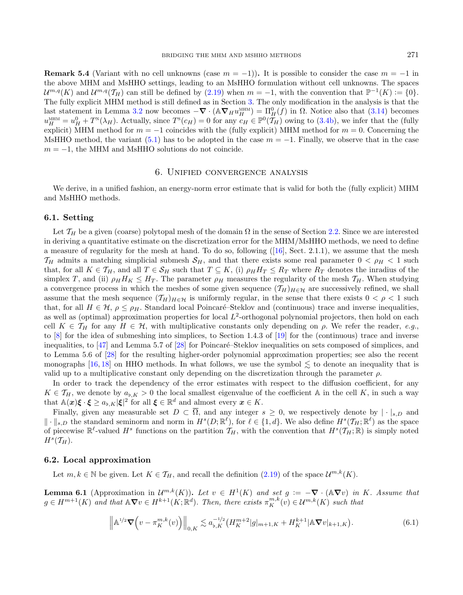**Remark 5.4** (Variant with no cell unknowns (case  $m = -1$ )). It is possible to consider the case  $m = -1$  in the above MHM and MsHHO settings, leading to an MsHHO formulation without cell unknowns. The spaces  $\mathcal{U}^{m,q}(K)$  and  $\mathcal{U}^{m,q}(\mathcal{T}_H)$  can still be defined by [\(2.19\)](#page-4-2) when  $m = -1$ , with the convention that  $\mathbb{P}^{-1}(K) := \{0\}.$ The fully explicit MHM method is still defined as in Section [3.](#page-5-0) The only modification in the analysis is that the last statement in Lemma [3.2](#page-6-6) now becomes  $-\nabla \cdot (\mathbb{A} \nabla_H u_H^{\text{MHM}}) = \Pi_H^0(f)$  in  $\Omega$ . Notice also that [\(3.14\)](#page-6-3) becomes  $u_H^{\text{MHM}} = u_H^0 + T^{\text{N}}(\lambda_H)$ . Actually, since  $T^{\text{s}}(c_H) = 0$  for any  $c_H \in \mathbb{P}^0(\overline{T}_H)$  owing to [\(3.4b\)](#page-5-5), we infer that the (fully explicit) MHM method for  $m = -1$  coincides with the (fully explicit) MHM method for  $m = 0$ . Concerning the MsHHO method, the variant [\(5.1\)](#page-9-4) has to be adopted in the case  $m = -1$ . Finally, we observe that in the case  $m = -1$ , the MHM and MsHHO solutions do not coincide.

## 6. Unified convergence analysis

<span id="page-10-0"></span>We derive, in a unified fashion, an energy-norm error estimate that is valid for both the (fully explicit) MHM and MsHHO methods.

# <span id="page-10-3"></span>6.1. Setting

Let  $\mathcal{T}_H$  be a given (coarse) polytopal mesh of the domain  $\Omega$  in the sense of Section [2.2.](#page-2-3) Since we are interested in deriving a quantitative estimate on the discretization error for the MHM/MsHHO methods, we need to define a measure of regularity for the mesh at hand. To do so, following ([\[16\]](#page-22-17), Sect. 2.1.1), we assume that the mesh  $\mathcal{T}_H$  admits a matching simplicial submesh  $\mathcal{S}_H$ , and that there exists some real parameter  $0 < \rho_H < 1$  such that, for all  $K \in \mathcal{T}_H$ , and all  $T \in \mathcal{S}_H$  such that  $T \subseteq K$ , (i)  $\rho_H H_T \leq R_T$  where  $R_T$  denotes the inradius of the simplex T, and (ii)  $\rho_H H_K \leq H_T$ . The parameter  $\rho_H$  measures the regularity of the mesh  $\mathcal{T}_H$ . When studying a convergence process in which the meshes of some given sequence  $(\mathcal{T}_H)_{H \in \mathcal{H}}$  are successively refined, we shall assume that the mesh sequence  $(\mathcal{T}_H)_{H \in \mathcal{H}}$  is uniformly regular, in the sense that there exists  $0 < \rho < 1$  such that, for all  $H \in \mathcal{H}, \rho \leq \rho_H$ . Standard local Poincaré–Steklov and (continuous) trace and inverse inequalities, as well as (optimal) approximation properties for local  $L^2$ -orthogonal polynomial projectors, then hold on each cell  $K \in \mathcal{T}_H$  for any  $H \in \mathcal{H}$ , with multiplicative constants only depending on  $\rho$ . We refer the reader, e.g. to [\[8\]](#page-22-19) for the idea of submeshing into simplices, to Section 1.4.3 of [\[19\]](#page-22-16) for the (continuous) trace and inverse inequalities, to  $[47]$  and Lemma 5.7 of  $[28]$  for Poincaré–Steklov inequalities on sets composed of simplices, and to Lemma 5.6 of [\[28\]](#page-23-26) for the resulting higher-order polynomial approximation properties; see also the recent monographs [\[16,](#page-22-17) [18\]](#page-22-18) on HHO methods. In what follows, we use the symbol  $\leq$  to denote an inequality that is valid up to a multiplicative constant only depending on the discretization through the parameter  $\rho$ .

In order to track the dependency of the error estimates with respect to the diffusion coefficient, for any  $K \in \mathcal{T}_H$ , we denote by  $a_{\flat,K} > 0$  the local smallest eigenvalue of the coefficient A in the cell K, in such a way that  $\mathbb{A}(\boldsymbol{x})\boldsymbol{\xi} \cdot \boldsymbol{\xi} \ge a_{\flat,K} |\boldsymbol{\xi}|^2$  for all  $\boldsymbol{\xi} \in \mathbb{R}^d$  and almost every  $\boldsymbol{x} \in K$ .

Finally, given any measurable set  $D \subset \overline{\Omega}$ , and any integer  $s \geq 0$ , we respectively denote by  $|\cdot|_{s,D}$  and  $\|\cdot\|_{s,D}$  the standard seminorm and norm in  $H^s(D;\mathbb{R}^{\ell})$ , for  $\ell \in \{1,d\}$ . We also define  $H^s(\mathcal{T}_H;\mathbb{R}^{\ell})$  as the space of piecewise  $\mathbb{R}^{\ell}$ -valued  $H^s$  functions on the partition  $\mathcal{T}_H$ , with the convention that  $H^s(\mathcal{T}_H;\mathbb{R})$  is simply noted  $H^s(\mathcal{T}_H).$ 

#### 6.2. Local approximation

Let  $m, k \in \mathbb{N}$  be given. Let  $K \in \mathcal{T}_H$ , and recall the definition  $(2.19)$  of the space  $\mathcal{U}^{m,k}(K)$ .

<span id="page-10-1"></span>**Lemma 6.1** (Approximation in  $\mathcal{U}^{m,k}(K)$ ). Let  $v \in H^1(K)$  and set  $g := -\nabla \cdot (\mathbb{A} \nabla v)$  in K. Assume that  $g \in H^{m+1}(K)$  and that  $\mathbb{A} \nabla v \in H^{k+1}(K; \mathbb{R}^d)$ . Then, there exists  $\pi_K^{m,k}(v) \in \mathcal{U}^{m,k}(K)$  such that

<span id="page-10-2"></span>
$$
\left\| \mathbb{A}^{1/2} \nabla \left( v - \pi_K^{m,k}(v) \right) \right\|_{0,K} \lesssim a_{\flat,K}^{-1/2} \left( H_K^{m+2} |g|_{m+1,K} + H_K^{k+1} |\mathbb{A} \nabla v|_{k+1,K} \right). \tag{6.1}
$$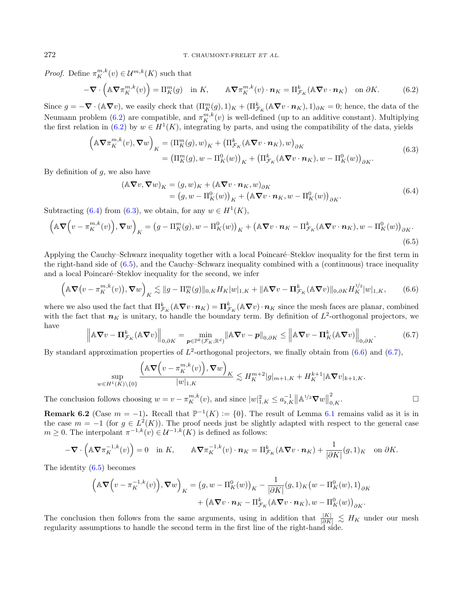*Proof.* Define  $\pi_K^{m,k}(v) \in \mathcal{U}^{m,k}(K)$  such that

<span id="page-11-1"></span><span id="page-11-0"></span>
$$
-\nabla \cdot \left(\mathbb{A} \nabla \pi_K^{m,k}(v)\right) = \Pi_K^m(g) \quad \text{in } K, \qquad \mathbb{A} \nabla \pi_K^{m,k}(v) \cdot \mathbf{n}_K = \Pi_{\mathcal{F}_K}^k(\mathbb{A} \nabla v \cdot \mathbf{n}_K) \quad \text{on } \partial K. \tag{6.2}
$$

Since  $g = -\nabla \cdot (\mathbb{A} \nabla v)$ , we easily check that  $(\Pi_K^m(g), 1)_K + (\Pi_{\mathcal{F}_K}^k (\mathbb{A} \nabla v \cdot \boldsymbol{n}_K), 1)_{\partial K} = 0$ ; hence, the data of the Neumann problem [\(6.2\)](#page-11-0) are compatible, and  $\pi_K^{m,k}(v)$  is well-defined (up to an additive constant). Multiplying the first relation in [\(6.2\)](#page-11-0) by  $w \in H^1(K)$ , integrating by parts, and using the compatibility of the data, yields

$$
\left(\mathbb{A}\nabla\pi_K^{m,k}(v),\nabla w\right)_K = \left(\Pi_K^m(g),w\right)_K + \left(\Pi_{\mathcal{F}_K}^k(\mathbb{A}\nabla v \cdot \mathbf{n}_K),w\right)_{\partial K}
$$
\n
$$
= \left(\Pi_K^m(g),w - \Pi_K^0(w)\right)_K + \left(\Pi_{\mathcal{F}_K}^k(\mathbb{A}\nabla v \cdot \mathbf{n}_K),w - \Pi_K^0(w)\right)_{\partial K}.\tag{6.3}
$$

By definition of  $q$ , we also have

<span id="page-11-4"></span><span id="page-11-3"></span><span id="page-11-2"></span>
$$
(\mathbb{A}\nabla v, \nabla w)_K = (g, w)_K + (\mathbb{A}\nabla v \cdot \mathbf{n}_K, w)_{\partial K}
$$
  
=  $(g, w - \Pi_K^0(w))_K + (\mathbb{A}\nabla v \cdot \mathbf{n}_K, w - \Pi_K^0(w))_{\partial K}.$  (6.4)

Subtracting [\(6.4\)](#page-11-1) from [\(6.3\)](#page-11-2), we obtain, for any  $w \in H^1(K)$ ,

<span id="page-11-5"></span>
$$
\left(\mathbb{A}\nabla\Big(v-\pi_K^{m,k}(v)\Big),\nabla w\right)_K = \left(g-\Pi_K^m(g),w-\Pi_K^0(w)\right)_K + \left(\mathbb{A}\nabla v\cdot\mathbf{n}_K - \Pi_{\mathcal{F}_K}^k(\mathbb{A}\nabla v\cdot\mathbf{n}_K),w-\Pi_K^0(w)\right)_{\partial K}.
$$
\n
$$
(6.5)
$$

Applying the Cauchy–Schwarz inequality together with a local Poincaré–Steklov inequality for the first term in the right-hand side of [\(6.5\)](#page-11-3), and the Cauchy–Schwarz inequality combined with a (continuous) trace inequality and a local Poincaré–Steklov inequality for the second, we infer

$$
\left(\mathbb{A}\nabla\big(v-\pi_K^{m,k}(v)\big),\nabla w\right)_K \lesssim \|g-\Pi_K^m(g)\|_{0,K} H_K|w|_{1,K} + \|\mathbb{A}\nabla v - \Pi_{\mathcal{F}_K}^k(\mathbb{A}\nabla v)\|_{0,\partial K} H_K^{1/2}|w|_{1,K},\tag{6.6}
$$

where we also used the fact that  $\Pi_{\mathcal{F}_K}^k(\mathbb{A}\nabla v \cdot \boldsymbol{n}_K) = \Pi_{\mathcal{F}_K}^k(\mathbb{A}\nabla v) \cdot \boldsymbol{n}_K$  since the mesh faces are planar, combined with the fact that  $n_K$  is unitary, to handle the boundary term. By definition of  $L^2$ -orthogonal projectors, we have

$$
\left\|\mathbb{A}\nabla v - \mathbf{\Pi}_{\mathcal{F}_K}^k(\mathbb{A}\nabla v)\right\|_{0,\partial K} = \min_{\mathbf{p}\in\mathbb{P}^k(\mathcal{F}_K;\mathbb{R}^d)}\|\mathbb{A}\nabla v - \mathbf{p}\|_{0,\partial K} \le \left\|\mathbb{A}\nabla v - \mathbf{\Pi}_K^k(\mathbb{A}\nabla v)\right\|_{0,\partial K}.\tag{6.7}
$$

By standard approximation properties of  $L^2$ -orthogonal projectors, we finally obtain from  $(6.6)$  and  $(6.7)$ ,

$$
\sup_{w\in H^1(K)\setminus\{0\}}\frac{\left(\mathbb{A} \boldsymbol\nabla \Big(v-\pi_K^{m,k}(v)\Big),\boldsymbol\nabla w\right)_K}{|w|_{1,K}}\lesssim H_K^{m+2}|g|_{m+1,K}+H_K^{k+1}|\mathbb{A} \boldsymbol\nabla v|_{k+1,K}.
$$

The conclusion follows choosing  $w = v - \pi_K^{m,k}(v)$ , and since  $|w|_{1,K}^2 \le a_{\flat,K}^{-1} ||\mathbb{A}^{1/2} \nabla w||$ 2<br> $_{0,K}$ .

<span id="page-11-6"></span>**Remark 6.2** (Case  $m = -1$ ). Recall that  $\mathbb{P}^{-1}(K) := \{0\}$ . The result of Lemma [6.1](#page-10-1) remains valid as it is in the case  $m = -1$  (for  $g \in L^2(K)$ ). The proof needs just be slightly adapted with respect to the general case  $m \geq 0$ . The interpolant  $\pi^{-1,k}(v) \in \mathcal{U}^{-1,k}(K)$  is defined as follows:

$$
-\nabla \cdot \left(\mathbb{A} \nabla \pi_K^{-1,k}(v)\right) = 0 \quad \text{in } K, \qquad \mathbb{A} \nabla \pi_K^{-1,k}(v) \cdot \boldsymbol{n}_K = \Pi_{\mathcal{F}_K}^k (\mathbb{A} \nabla v \cdot \boldsymbol{n}_K) + \frac{1}{|\partial K|} (g,1)_K \quad \text{on } \partial K.
$$

The identity [\(6.5\)](#page-11-3) becomes

$$
\left(\mathbb{A}\nabla\Big(v-\pi_K^{-1,k}(v)\Big),\nabla w\right)_K = \left(g,w-\Pi_K^0(w)\right)_K - \frac{1}{|\partial K|}(g,1)_K\big(w-\Pi_K^0(w),1\big)_{\partial K} + \left(\mathbb{A}\nabla v\cdot\boldsymbol{n}_K-\Pi_{\mathcal{F}_K}^k(\mathbb{A}\nabla v\cdot\boldsymbol{n}_K),w-\Pi_K^0(w)\right)_{\partial K}.
$$

The conclusion then follows from the same arguments, using in addition that  $\frac{|K|}{|\partial K|} \leq H_K$  under our mesh regularity assumptions to handle the second term in the first line of the right-hand side.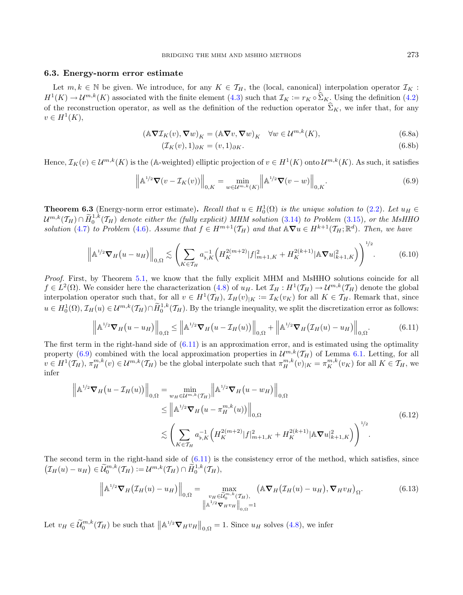### <span id="page-12-2"></span>6.3. Energy-norm error estimate

<span id="page-12-0"></span>Let  $m, k \in \mathbb{N}$  be given. We introduce, for any  $K \in \mathcal{T}_H$ , the (local, canonical) interpolation operator  $\mathcal{I}_K$ :  $H^1(K) \to \mathcal{U}^{m,k}(K)$  associated with the finite element [\(4.3\)](#page-7-3) such that  $\mathcal{I}_K := r_K \circ \Sigma_K$ . Using the definition [\(4.2\)](#page-7-1) of the reconstruction operator, as well as the definition of the reduction operator  $\widehat{\Sigma}_K$ , we infer that, for any  $v \in H^1(K)$ ,

$$
(\mathbb{A}\nabla \mathcal{I}_K(v), \nabla w)_K = (\mathbb{A}\nabla v, \nabla w)_K \quad \forall w \in \mathcal{U}^{m,k}(K),\tag{6.8a}
$$

<span id="page-12-5"></span>
$$
(\mathcal{I}_K(v), 1)_{\partial K} = (v, 1)_{\partial K}.\tag{6.8b}
$$

Hence,  $\mathcal{I}_K(v) \in \mathcal{U}^{m,k}(K)$  is the (A-weighted) elliptic projection of  $v \in H^1(K)$  onto  $\mathcal{U}^{m,k}(K)$ . As such, it satisfies

$$
\left\| \mathbb{A}^{1/2} \nabla (v - \mathcal{I}_K(v)) \right\|_{0,K} = \min_{w \in \mathcal{U}^{m,k}(K)} \left\| \mathbb{A}^{1/2} \nabla (v - w) \right\|_{0,K}.
$$
 (6.9)

<span id="page-12-1"></span>**Theorem 6.3** (Energy-norm error estimate). Recall that  $u \in H_0^1(\Omega)$  is the unique solution to [\(2.2\)](#page-2-2). Let  $u_H \in$  $\mathcal{U}^{m,k}(\mathcal{T}_H) \cap \widetilde{H}_0^{1,k}(T_H)$  denote either the (fully explicit) MHM solution [\(3.14\)](#page-6-3) to Problem [\(3.15\)](#page-6-4), or the MsHHO solution [\(4.7\)](#page-8-0) to Problem [\(4.6\)](#page-8-2). Assume that  $f \in H^{m+1}(\mathcal{T}_H)$  and that  $\mathbb{A} \nabla u \in H^{k+1}(\mathcal{T}_H; \mathbb{R}^d)$ . Then, we have

$$
\left\| \mathbb{A}^{1/2} \nabla_H (u - u_H) \right\|_{0,\Omega} \lesssim \left( \sum_{K \in \mathcal{T}_H} a_{\flat,K}^{-1} \left( H_K^{2(m+2)} |f|_{m+1,K}^2 + H_K^{2(k+1)} |\mathbb{A} \nabla u|_{k+1,K}^2 \right) \right)^{1/2} . \tag{6.10}
$$

<span id="page-12-4"></span>Proof. First, by Theorem [5.1,](#page-9-0) we know that the fully explicit MHM and MsHHO solutions coincide for all  $f \in L^2(\Omega)$ . We consider here the characterization  $(4.8)$  of  $u_H$ . Let  $\mathcal{I}_H: H^1(\mathcal{T}_H) \to \mathcal{U}^{m,k}(\mathcal{T}_H)$  denote the global interpolation operator such that, for all  $v \in H^1(\mathcal{T}_H)$ ,  $\mathcal{I}_H(v)_{|K} := \mathcal{I}_K(v_K)$  for all  $K \in \mathcal{T}_H$ . Remark that, since  $u \in H_0^1(\Omega), \mathcal{I}_H(u) \in \mathcal{U}^{m,k}(\mathcal{T}_H) \cap \widetilde{H}_0^{1,k}(\mathcal{T}_H)$ . By the triangle inequality, we split the discretization error as follows:

<span id="page-12-3"></span>
$$
\left\|\mathbb{A}^{1/2}\nabla_H(u-u_H)\right\|_{0,\Omega} \le \left\|\mathbb{A}^{1/2}\nabla_H(u-\mathcal{I}_H(u))\right\|_{0,\Omega} + \left\|\mathbb{A}^{1/2}\nabla_H(\mathcal{I}_H(u)-u_H)\right\|_{0,\Omega}.
$$
\n(6.11)

The first term in the right-hand side of  $(6.11)$  is an approximation error, and is estimated using the optimality property [\(6.9\)](#page-12-2) combined with the local approximation properties in  $\mathcal{U}^{m,k}(\mathcal{T}_H)$  of Lemma [6.1.](#page-10-1) Letting, for all  $v \in H^1(\mathcal{T}_H), \pi_H^{m,k}(v) \in \mathcal{U}^{m,k}(\mathcal{T}_H)$  be the global interpolate such that  $\pi_H^{m,k}(v)|_K = \pi_K^{m,k}(v_K)$  for all  $K \in \mathcal{T}_H$ , we infer

$$
\left\| \mathbb{A}^{1/2} \nabla_{H} \left( u - \mathcal{I}_{H}(u) \right) \right\|_{0,\Omega} = \min_{w_{H} \in \mathcal{U}^{m,k}(\mathcal{T}_{H})} \left\| \mathbb{A}^{1/2} \nabla_{H} \left( u - w_{H} \right) \right\|_{0,\Omega}
$$
\n
$$
\leq \left\| \mathbb{A}^{1/2} \nabla_{H} \left( u - \pi_{H}^{m,k}(u) \right) \right\|_{0,\Omega}
$$
\n
$$
\lesssim \left( \sum_{K \in \mathcal{T}_{H}} a_{b,K}^{-1} \left( H_{K}^{2(m+2)} |f|_{m+1,K}^{2} + H_{K}^{2(k+1)} | \mathbb{A} \nabla u|_{k+1,K}^{2} \right) \right)^{1/2}.
$$
\n(6.12)

The second term in the right-hand side of  $(6.11)$  is the consistency error of the method, which satisfies, since  $(\mathcal{I}_H(u) - u_H) \in \widetilde{\mathcal{U}}_0^{m,k}(\mathcal{T}_H) := \mathcal{U}^{m,k}(\mathcal{T}_H) \cap \widetilde{H}_0^{1,k}(\mathcal{T}_H),$ 

$$
\left\|\mathbb{A}^{1/2}\nabla_H(\mathcal{I}_H(u)-u_H)\right\|_{0,\Omega}=\max_{\substack{v_H\in\widetilde{\mathcal{U}}_0^{m,k}(\mathcal{I}_H),\\ \left\|\mathbb{A}^{1/2}\nabla_Hv_H\right\|_{0,\Omega}=1}}\left(\mathbb{A}\nabla_H(\mathcal{I}_H(u)-u_H),\nabla_Hv_H\right)_{\Omega}.\tag{6.13}
$$

Let  $v_H \in \widetilde{\mathcal{U}}_0^{m,k}(\mathcal{T}_H)$  be such that  $\left\| \mathbb{A}^{1/2} \nabla_H v_H \right\|_{0,\Omega} = 1$ . Since  $u_H$  solves [\(4.8\)](#page-8-1), we infer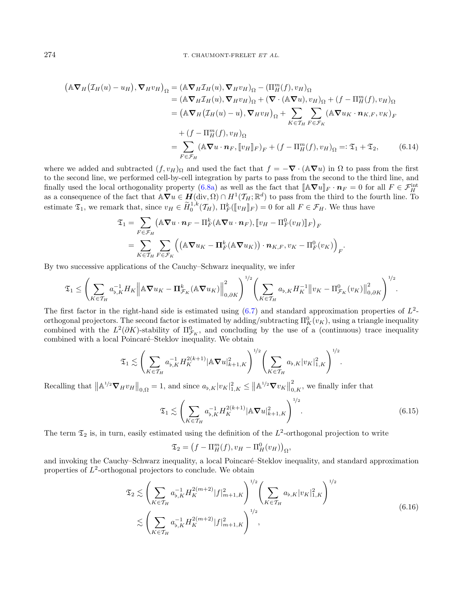$$
(\mathbb{A}\nabla_{H}(\mathcal{I}_{H}(u)-u_{H}), \nabla_{H}v_{H})_{\Omega} = (\mathbb{A}\nabla_{H}\mathcal{I}_{H}(u), \nabla_{H}v_{H})_{\Omega} - (\Pi_{H}^{m}(f), v_{H})_{\Omega}
$$
  
\n
$$
= (\mathbb{A}\nabla_{H}\mathcal{I}_{H}(u), \nabla_{H}v_{H})_{\Omega} + (\nabla \cdot (\mathbb{A}\nabla u), v_{H})_{\Omega} + (f - \Pi_{H}^{m}(f), v_{H})_{\Omega}
$$
  
\n
$$
= (\mathbb{A}\nabla_{H}(\mathcal{I}_{H}(u)-u), \nabla_{H}v_{H})_{\Omega} + \sum_{K\in\mathcal{T}_{H}} \sum_{F\in\mathcal{F}_{K}} (\mathbb{A}\nabla u_{K} \cdot \mathbf{n}_{K,F}, v_{K})_{F}
$$
  
\n
$$
+ (f - \Pi_{H}^{m}(f), v_{H})_{\Omega}
$$
  
\n
$$
= \sum_{F\in\mathcal{F}_{H}} (\mathbb{A}\nabla u \cdot \mathbf{n}_{F}, [v_{H}]_{F})_{F} + (f - \Pi_{H}^{m}(f), v_{H})_{\Omega} =: \mathfrak{T}_{1} + \mathfrak{T}_{2}, \qquad (6.14)
$$

where we added and subtracted  $(f, v_H)_{\Omega}$  and used the fact that  $f = -\nabla \cdot (\mathbb{A} \nabla u)$  in  $\Omega$  to pass from the first to the second line, we performed cell-by-cell integration by parts to pass from the second to the third line, and finally used the local orthogonality property [\(6.8a\)](#page-10-2) as well as the fact that  $[\![\mathbb{A}\nabla u]\!]_F \cdot n_F = 0$  for all  $F \in \mathcal{F}_H^{\text{int}}$ <br>as a consequence of the fact that  $\mathbb{A}\nabla u \in H(\text{div }\Omega) \cap H^1(\mathcal{F}_x, \mathbb{R}^d)$  to pass fro as a consequence of the fact that  $\mathbb{A}\nabla u \in H(\text{div}, \Omega) \cap H^1(\mathcal{T}_H; \mathbb{R}^d)$  to pass from the third to the fourth line. To estimate  $\mathfrak{T}_1$ , we remark that, since  $v_H \in \widetilde{H}_0^{1,k}(\mathcal{T}_H)$ ,  $\Pi_F^k(\llbracket v_H \rrbracket_F) = 0$  for all  $F \in \mathcal{F}_H$ . We thus have

<span id="page-13-2"></span>
$$
\mathfrak{T}_1 = \sum_{F \in \mathcal{F}_H} (\mathbb{A} \nabla u \cdot \boldsymbol{n}_F - \Pi_F^k (\mathbb{A} \nabla u \cdot \boldsymbol{n}_F), [\![ v_H - \Pi_F^0 (v_H)]\!]_F )_F
$$
  
= 
$$
\sum_{K \in \mathcal{T}_H} \sum_{F \in \mathcal{F}_K} ((\mathbb{A} \nabla u_K - \Pi_F^k (\mathbb{A} \nabla u_K)) \cdot \boldsymbol{n}_{K,F}, v_K - \Pi_F^0 (v_K))_F.
$$

By two successive applications of the Cauchy–Schwarz inequality, we infer

$$
\mathfrak{T}_1 \leq \left(\sum_{K\in\mathcal{T}_H}a_{\flat,K}^{-1}H_K\left\|\mathbb{A}\boldsymbol{\nabla} u_K-\boldsymbol{\Pi}_{\mathcal{F}_K}^k(\mathbb{A}\boldsymbol{\nabla} u_K)\right\|_{0,\partial K}^2\right)^{1/2}\left(\sum_{K\in\mathcal{T}_H}a_{\flat,K}H_K^{-1}\left\|v_K-\Pi_{\mathcal{F}_K}^0(v_K)\right\|_{0,\partial K}^2\right)^{1/2}.
$$

The first factor in the right-hand side is estimated using  $(6.7)$  and standard approximation properties of  $L^2$ orthogonal projectors. The second factor is estimated by adding/subtracting  $\Pi_K^0(v_K)$ , using a triangle inequality combined with the  $L^2(\partial K)$ -stability of  $\Pi_{\mathcal{F}_K}^0$ , and concluding by the use of a (continuous) trace inequality combined with a local Poincaré–Steklov inequality. We obtain

$$
\mathfrak{T}_1 \lesssim \left( \sum_{K \in \mathcal{T}_H} a_{\flat,K}^{-1} H_K^{2(k+1)} |\mathbb{A} \nabla u|_{k+1,K}^2 \right)^{1/2} \left( \sum_{K \in \mathcal{T}_H} a_{\flat,K} |v_K|_{1,K}^2 \right)^{1/2}.
$$

Recalling that  $\|\mathbb{A}^{1/2}\nabla_H v_H\|_{0,\Omega} = 1$ , and since  $a_{\flat,K} |v_K|^2_{1,K} \le \|\mathbb{A}^{1/2}\nabla v_K\|$  $_{0,K}^2$ , we finally infer that

<span id="page-13-1"></span><span id="page-13-0"></span>
$$
\mathfrak{T}_1 \lesssim \left( \sum_{K \in \mathcal{T}_H} a_{\flat,K}^{-1} H_K^{2(k+1)} |\mathbb{A} \nabla u|_{k+1,K}^2 \right)^{1/2} . \tag{6.15}
$$

The term  $\mathfrak{T}_2$  is, in turn, easily estimated using the definition of the  $L^2$ -orthogonal projection to write

$$
\mathfrak{T}_2 = \left(f - \Pi_H^m(f), v_H - \Pi_H^0(v_H)\right)_{\Omega},
$$

and invoking the Cauchy–Schwarz inequality, a local Poincaré–Steklov inequality, and standard approximation properties of  $L^2$ -orthogonal projectors to conclude. We obtain

$$
\mathfrak{T}_2 \lesssim \left( \sum_{K \in \mathcal{T}_H} a_{\flat,K}^{-1} H_K^{2(m+2)} |f|_{m+1,K}^2 \right)^{1/2} \left( \sum_{K \in \mathcal{T}_H} a_{\flat,K} |v_K|_{1,K}^2 \right)^{1/2}
$$
\n
$$
\lesssim \left( \sum_{K \in \mathcal{T}_H} a_{\flat,K}^{-1} H_K^{2(m+2)} |f|_{m+1,K}^2 \right)^{1/2}, \tag{6.16}
$$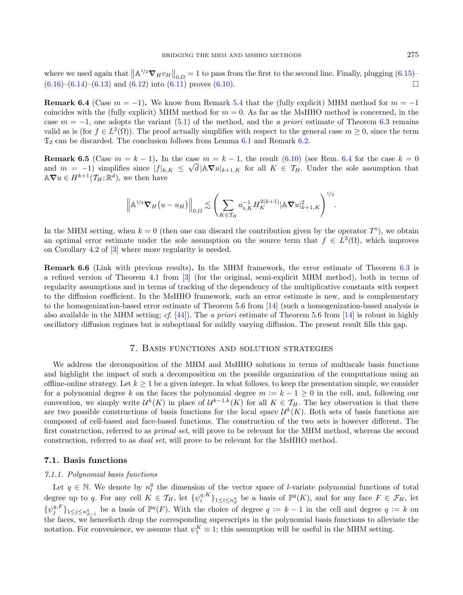where we used again that  $\|\mathbb{A}^{1/2}\nabla_H v_H\|_{0,\Omega} = 1$  to pass from the first to the second line. Finally, plugging [\(6.15\)](#page-13-0)–  $(6.16)$ – $(6.14)$ – $(6.13)$  and  $(6.12)$  into  $(6.11)$  proves  $(6.10)$ .

<span id="page-14-1"></span>**Remark 6.4** (Case  $m = -1$ ). We know from Remark [5.4](#page-9-3) that the (fully explicit) MHM method for  $m = -1$ coincides with the (fully explicit) MHM method for  $m = 0$ . As far as the MsHHO method is concerned, in the case  $m = -1$ , one adopts the variant [\(5.1\)](#page-9-4) of the method, and the *a priori* estimate of Theorem [6.3](#page-12-0) remains valid as is (for  $f \in L^2(\Omega)$ ). The proof actually simplifies with respect to the general case  $m \geq 0$ , since the term  $\mathfrak{T}_2$  can be discarded. The conclusion follows from Lemma [6.1](#page-10-1) and Remark [6.2.](#page-11-6)

**Remark 6.5** (Case  $m = k - 1$ ). In the case  $m = k - 1$ , the result  $(6.10)$  (see Rem. [6.4](#page-14-1) for the case  $k = 0$ and  $m = -1$ ) simplifies since  $|f|_{k,K} \leq \sqrt{d} |\mathbb{A} \nabla u|_{k+1,K}$  for all  $K \in \mathcal{T}_H$ . Under the sole assumption that  $\mathbb{A}\nabla u \in H^{k+1}(\mathcal{T}_H;\mathbb{R}^d)$ , we then have

$$
\left\| \mathbb{A}^{1/2} \nabla_H (u - u_H) \right\|_{0,\Omega} \lesssim \left( \sum_{K \in \mathcal{T}_H} a_{b,K}^{-1} H_K^{2(k+1)} |\mathbb{A} \nabla u|_{k+1,K}^2 \right)^{1/2}.
$$

In the MHM setting, when  $k = 0$  (then one can discard the contribution given by the operator  $T^s$ ), we obtain an optimal error estimate under the sole assumption on the source term that  $f \in L^2(\Omega)$ , which improves on Corollary 4.2 of [\[3\]](#page-22-7) where more regularity is needed.

Remark 6.6 (Link with previous results). In the MHM framework, the error estimate of Theorem [6.3](#page-12-0) is a refined version of Theorem 4.1 from [\[3\]](#page-22-7) (for the original, semi-explicit MHM method), both in terms of regularity assumptions and in terms of tracking of the dependency of the multiplicative constants with respect to the diffusion coefficient. In the MsHHO framework, such an error estimate is new, and is complementary to the homogenization-based error estimate of Theorem 5.6 from [\[14\]](#page-22-9) (such a homogenization-based analysis is also available in the MHM setting; cf.  $[44]$ ). The a priori estimate of Theorem 5.6 from  $[14]$  is robust in highly oscillatory diffusion regimes but is suboptimal for mildly varying diffusion. The present result fills this gap.

#### 7. Basis functions and solution strategies

<span id="page-14-0"></span>We address the decomposition of the MHM and MsHHO solutions in terms of multiscale basis functions and highlight the impact of such a decomposition on the possible organization of the computations using an offline-online strategy. Let  $k \geq 1$  be a given integer. In what follows, to keep the presentation simple, we consider for a polynomial degree k on the faces the polynomial degree  $m := k - 1 \ge 0$  in the cell, and, following our convention, we simply write  $\mathcal{U}^k(K)$  in place of  $\mathcal{U}^{k-1,k}(K)$  for all  $K \in \mathcal{T}_H$ . The key observation is that there are two possible constructions of basis functions for the local space  $\mathcal{U}^k(K)$ . Both sets of basis functions are composed of cell-based and face-based functions. The construction of the two sets is however different. The first construction, referred to as *primal set*, will prove to be relevant for the MHM method, whereas the second construction, referred to as dual set, will prove to be relevant for the MsHHO method.

#### <span id="page-14-2"></span>7.1. Basis functions

#### 7.1.1. Polynomial basis functions

Let  $q \in \mathbb{N}$ . We denote by  $n_l^q$  the dimension of the vector space of *l*-variate polynomial functions of total degree up to q. For any cell  $K \in \mathcal{T}_H$ , let  $\{\psi_i^{q,K}\}_{1 \leq i \leq n_d^q}$  be a basis of  $\mathbb{P}^q(K)$ , and for any face  $F \in \mathcal{F}_H$ , let  $\{\psi_j^{q,F}\}_{1\leq j\leq n_{d-1}^q}$  be a basis of  $\mathbb{P}^q(F)$ . With the choice of degree  $q:=k-1$  in the cell and degree  $q:=k$  on the faces, we henceforth drop the corresponding superscripts in the polynomial basis functions to alleviate the notation. For convenience, we assume that  $\psi_1^K \equiv 1$ ; this assumption will be useful in the MHM setting.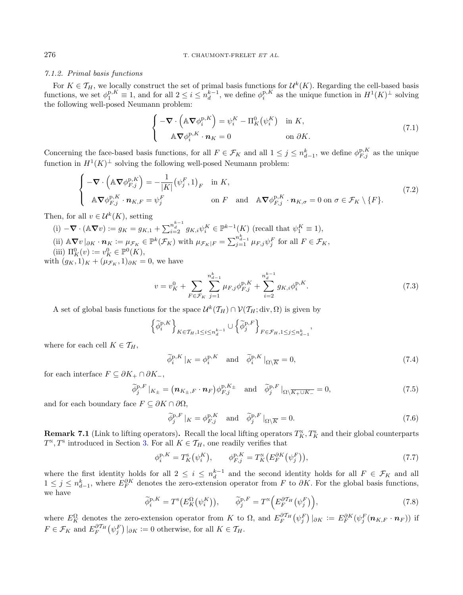### 7.1.2. Primal basis functions

For  $K \in \mathcal{T}_H$ , we locally construct the set of primal basis functions for  $\mathcal{U}^k(K)$ . Regarding the cell-based basis functions, we set  $\phi_1^{p,K} \equiv 1$ , and for all  $2 \leq i \leq n_d^{k-1}$ , we define  $\phi_i^{p,K}$  as the unique function in  $H^1(K)^{\perp}$  solving the following well-posed Neumann problem:

<span id="page-15-2"></span><span id="page-15-1"></span>
$$
\begin{cases}\n-\nabla \cdot \left(\mathbb{A} \nabla \phi_i^{p,K}\right) = \psi_i^K - \Pi_K^0(\psi_i^K) & \text{in } K, \\
\mathbb{A} \nabla \phi_i^{p,K} \cdot \mathbf{n}_K = 0 & \text{on } \partial K.\n\end{cases} \tag{7.1}
$$

Concerning the face-based basis functions, for all  $F \in \mathcal{F}_K$  and all  $1 \leq j \leq n_{d-1}^k$ , we define  $\phi_{F,j}^{p,K}$  as the unique function in  $H^1(K)^{\perp}$  solving the following well-posed Neumann problem:

$$
\begin{cases}\n-\nabla \cdot \left(\mathbb{A} \nabla \phi_{F,j}^{\mathbf{p},K}\right) = -\frac{1}{|K|} (\psi_j^F, 1)_F & \text{in } K, \\
\mathbb{A} \nabla \phi_{F,j}^{\mathbf{p},K} \cdot \mathbf{n}_{K,F} = \psi_j^F & \text{on } F \text{ and } \mathbb{A} \nabla \phi_{F,j}^{\mathbf{p},K} \cdot \mathbf{n}_{K,\sigma} = 0 & \text{on } \sigma \in \mathcal{F}_K \setminus \{F\}.\n\end{cases} \tag{7.2}
$$

Then, for all  $v \in \mathcal{U}^k(K)$ , setting

(i)  $-\nabla \cdot (\mathbb{A} \nabla v) := g_K = g_{K,1} + \sum_{i=2}^{n_d^{k-1}} g_{K,i} \psi_i^K \in \mathbb{P}^{k-1}(K)$  (recall that  $\psi_1^K \equiv 1$ ), (ii)  $\mathbb{A} \nabla v|_{\partial K} \cdot \mathbf{n}_K := \mu_{\mathcal{F}_K} \in \mathbb{P}^k(\mathcal{F}_K)$  with  $\mu_{\mathcal{F}_K|F} = \sum_{j=1}^{n_{d-1}^k} \mu_{F,j} \psi_j^F$  for all  $F \in \mathcal{F}_K$ , (iii)  $\Pi_K^0(v) := v_K^0 \in \mathbb{P}^0(K)$ ,

with  $(g_K, 1)_K + (\mu_{\mathcal{F}_K}, 1)_{\partial K} = 0$ , we have

$$
v = v_K^0 + \sum_{F \in \mathcal{F}_K} \sum_{j=1}^{n_{d-1}^k} \mu_{F,j} \phi_{F,j}^{p,K} + \sum_{i=2}^{n_d^{k-1}} g_{K,i} \phi_i^{p,K}.
$$
 (7.3)

A set of global basis functions for the space  $\mathcal{U}^k(\mathcal{T}_H) \cap \mathcal{V}(\mathcal{T}_H; \text{div}, \Omega)$  is given by

$$
\left\{\widetilde{\phi}_i^{\text{p},K}\right\}_{K\in\mathcal{T}_H,1\leq i\leq n_d^{k-1}}\cup\left\{\widetilde{\phi}_j^{\text{p},F}\right\}_{F\in\mathcal{F}_H,1\leq j\leq n_{d-1}^k},
$$

where for each cell  $K \in \mathcal{T}_H$ ,

$$
\tilde{\phi}_i^{\mathbf{p},K} |_{K} = \phi_i^{\mathbf{p},K} \quad \text{and} \quad \tilde{\phi}_i^{\mathbf{p},K} |_{\Omega \setminus \overline{K}} = 0,
$$
\n(7.4)

for each interface  $F \subseteq \partial K_+ \cap \partial K_-,$ 

$$
\widetilde{\phi}_j^{\mathbf{p},F}|_{K_{\pm}} = \left(\mathbf{n}_{K_{\pm},F} \cdot \mathbf{n}_F\right) \phi_{F,j}^{\mathbf{p},K_{\pm}} \quad \text{and} \quad \widetilde{\phi}_j^{\mathbf{p},F}|_{\Omega \setminus \overline{K_{+} \cup K_{-}}} = 0,
$$
\n(7.5)

and for each boundary face  $F \subseteq \partial K \cap \partial \Omega$ ,

$$
\tilde{\phi}_j^{\mathbf{p},F} |_{K} = \phi_{F,j}^{\mathbf{p},K} \quad \text{and} \quad \tilde{\phi}_j^{\mathbf{p},F} |_{\Omega \setminus \overline{K}} = 0. \tag{7.6}
$$

<span id="page-15-0"></span>**Remark 7.1** (Link to lifting operators). Recall the local lifting operators  $T_K^N, T_K^S$  and their global counterparts  $T^{\scriptscriptstyle\mathrm{N}}, T^{\scriptscriptstyle\mathrm{S}}$  introduced in Section [3.](#page-5-0) For all  $K \in \mathcal{T}_H$ , one readily verifies that

$$
\phi_i^{p,K} = T_K^s(\psi_i^K), \qquad \phi_{F,j}^{p,K} = T_K^N(E_F^{\partial K}(\psi_j^F)), \qquad (7.7)
$$

where the first identity holds for all  $2 \leq i \leq n_d^{k-1}$  and the second identity holds for all  $F \in \mathcal{F}_K$  and all  $1 \leq j \leq n_{d-1}^k$ , where  $E_F^{\partial K}$  denotes the zero-extension operator from F to  $\partial K$ . For the global basis functions, we have

$$
\widetilde{\phi}_i^{\mathbf{p},K} = T^{\mathbf{s}}(E_K^{\Omega}(\psi_i^K)), \qquad \widetilde{\phi}_j^{\mathbf{p},F} = T^{\mathbf{s}}\left(E_F^{\partial \mathcal{T}_H}(\psi_j^F)\right),\tag{7.8}
$$

where  $E_K^{\Omega}$  denotes the zero-extension operator from K to  $\Omega$ , and  $E_F^{\partial \mathcal{T}_H}(\psi_j^F)|_{\partial K} := E_F^{\partial K}(\psi_j^F(\boldsymbol{n}_{K,F} \cdot \boldsymbol{n}_F))$  if  $F \in \mathcal{F}_K$  and  $E_F^{\partial \mathcal{T}_H}(\psi_j^F) |_{\partial K} := 0$  otherwise, for all  $K \in \mathcal{T}_H$ .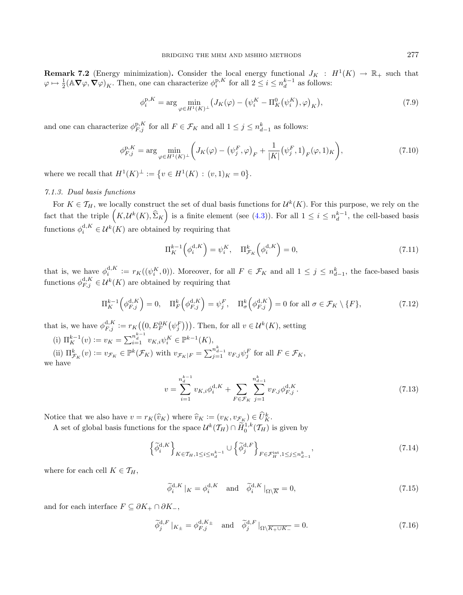<span id="page-16-0"></span>**Remark 7.2** (Energy minimization). Consider the local energy functional  $J_K : H^1(K) \to \mathbb{R}_+$  such that  $\varphi \mapsto \frac{1}{2} (\mathbb{A} \nabla \varphi, \nabla \varphi)_K$ . Then, one can characterize  $\phi_i^{p,K}$  for all  $2 \leq i \leq n_d^{k-1}$  as follows:

$$
\phi_i^{p,K} = \arg \min_{\varphi \in H^1(K)^{\perp}} \left( J_K(\varphi) - \left( \psi_i^K - \Pi_K^0(\psi_i^K), \varphi \right)_K \right),\tag{7.9}
$$

and one can characterize  $\phi_{F,j}^{\text{p},K}$  for all  $F \in \mathcal{F}_K$  and all  $1 \leq j \leq n_{d-1}^k$  as follows:

$$
\phi_{F,j}^{\mathbf{p},K} = \arg \min_{\varphi \in H^1(K)^\perp} \bigg( J_K(\varphi) - \big(\psi_j^F, \varphi\big)_F + \frac{1}{|K|} \big(\psi_j^F, 1\big)_F(\varphi, 1)_K \bigg),\tag{7.10}
$$

where we recall that  $H^1(K)^{\perp} := \{ v \in H^1(K) : (v,1)_K = 0 \}.$ 

#### 7.1.3. Dual basis functions

For  $K \in \mathcal{T}_H$ , we locally construct the set of dual basis functions for  $\mathcal{U}^k(K)$ . For this purpose, we rely on the fact that the triple  $(K, \mathcal{U}^k(K), \hat{\Sigma}_K)$  is a finite element (see [\(4.3\)](#page-7-3)). For all  $1 \leq i \leq n_d^{k-1}$ , the cell-based basis functions  $\phi_i^{d,K} \in \mathcal{U}^k(K)$  are obtained by requiring that

$$
\Pi_K^{k-1}\left(\phi_i^{\mathbf{d},K}\right) = \psi_i^K, \quad \Pi_{\mathcal{F}_K}^k\left(\phi_i^{\mathbf{d},K}\right) = 0,\tag{7.11}
$$

that is, we have  $\phi_i^{d,K} := r_K((\psi_i^K, 0))$ . Moreover, for all  $F \in \mathcal{F}_K$  and all  $1 \leq j \leq n_{d-1}^k$ , the face-based basis functions  $\phi_{F,j}^{\mathrm{d}, K} \in \mathcal{U}^k(K)$  are obtained by requiring that

$$
\Pi_K^{k-1}\left(\phi_{F,j}^{d,K}\right) = 0, \quad \Pi_F^k\left(\phi_{F,j}^{d,K}\right) = \psi_j^F, \quad \Pi_\sigma^k\left(\phi_{F,j}^{d,K}\right) = 0 \text{ for all } \sigma \in \mathcal{F}_K \setminus \{F\},\tag{7.12}
$$

that is, we have  $\phi_{F,j}^{d,K} := r_K((0, E_F^{\partial K}(\psi_j^F)))$ . Then, for all  $v \in \mathcal{U}^k(K)$ , setting

(i)  $\Pi_K^{k-1}(v) := v_K = \sum_{i=1}^{n_a^{k-1}} v_{K,i} \psi_i^K \in \mathbb{P}^{k-1}(K)$ , (ii)  $\Pi_{\mathcal{F}_K}^k(v) := v_{\mathcal{F}_K} \in \mathbb{P}^k(\mathcal{F}_K)$  with  $v_{\mathcal{F}_K|F} = \sum_{j=1}^{n_{d-1}^k} v_{F,j} \psi_j^F$  for all  $F \in \mathcal{F}_K$ ,

we have

<span id="page-16-4"></span><span id="page-16-3"></span><span id="page-16-2"></span>
$$
v = \sum_{i=1}^{n_d^{k-1}} v_{K,i} \phi_i^{d,K} + \sum_{F \in \mathcal{F}_K} \sum_{j=1}^{n_{d-1}^k} v_{F,j} \phi_{F,j}^{d,K}.
$$
 (7.13)

Notice that we also have  $v = r_K(\hat{v}_K)$  where  $\hat{v}_K := (v_K, v_{\mathcal{F}_K}) \in \hat{U}_K^k$ .

A set of global basis functions for the space  $\mathcal{U}^k(\mathcal{T}_H) \cap \widetilde{H}_0^{1,k}(\mathcal{T}_H)$  is given by

$$
\left\{\widetilde{\phi}_i^{d,K}\right\}_{K\in\mathcal{T}_H,1\leq i\leq n_d^{k-1}}\cup\left\{\widetilde{\phi}_j^{d,F}\right\}_{F\in\mathcal{F}_H^{\text{int}},1\leq j\leq n_{d-1}^k},\tag{7.14}
$$

where for each cell  $K \in \mathcal{T}_H$ ,

$$
\tilde{\phi}_i^{\mathbf{d},K} \mid_K = \phi_i^{\mathbf{d},K} \quad \text{and} \quad \tilde{\phi}_i^{\mathbf{d},K} \mid_{\Omega \setminus \overline{K}} = 0,
$$
\n(7.15)

<span id="page-16-1"></span>and for each interface  $F \subseteq \partial K_+ \cap \partial K_-,$ 

$$
\widetilde{\phi}_j^{\mathbf{d},F}|_{K_{\pm}} = \phi_{F,j}^{\mathbf{d},K_{\pm}} \quad \text{and} \quad \widetilde{\phi}_j^{\mathbf{d},F}|_{\Omega \setminus \overline{K_{+} \cup K_{-}}} = 0. \tag{7.16}
$$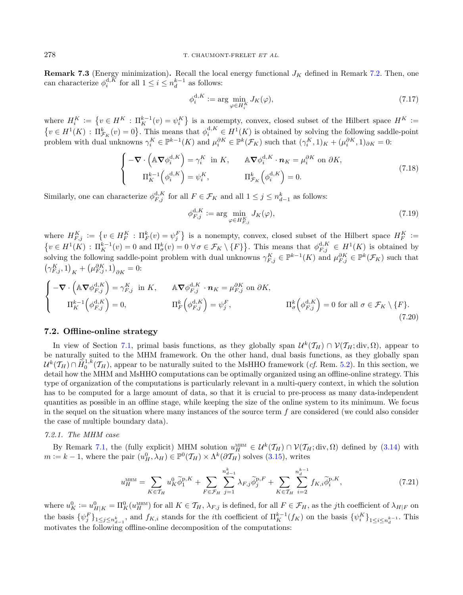**Remark 7.3** (Energy minimization). Recall the local energy functional  $J_K$  defined in Remark [7.2.](#page-16-0) Then, one can characterize  $\phi_i^{d,K}$  for all  $1 \leq i \leq n_d^{k-1}$  as follows:

<span id="page-17-2"></span>
$$
\phi_i^{\mathbf{d},K} := \arg \min_{\varphi \in H_i^K} J_K(\varphi),\tag{7.17}
$$

where  $H_i^K := \{v \in H^K : \Pi_K^{k-1}(v) = \psi_i^K\}$  is a nonempty, convex, closed subset of the Hilbert space  $H^K :=$  $\{v \in H^1(K) : \Pi^k_{\mathcal{F}_K}(v) = 0\}$ . This means that  $\phi_i^{d,K} \in H^1(K)$  is obtained by solving the following saddle-point problem with dual unknowns  $\gamma_i^K \in \mathbb{P}^{k-1}(K)$  and  $\mu_i^{\partial K} \in \mathbb{P}^{k}(\mathcal{F}_K)$  such that  $(\gamma_i^K, 1)_K + (\mu_i^{\partial K}, 1)_{\partial K} = 0$ :

<span id="page-17-3"></span>
$$
\begin{cases}\n-\nabla \cdot \left(\mathbb{A} \nabla \phi_i^{\mathrm{d}, K}\right) = \gamma_i^K \text{ in } K, & \mathbb{A} \nabla \phi_i^{\mathrm{d}, K} \cdot \mathbf{n}_K = \mu_i^{\partial K} \text{ on } \partial K, \\
\Pi_K^{k-1} \left(\phi_i^{\mathrm{d}, K}\right) = \psi_i^K, & \Pi_{\mathcal{F}_K}^k \left(\phi_i^{\mathrm{d}, K}\right) = 0.\n\end{cases} \tag{7.18}
$$

Similarly, one can characterize  $\phi_{F,j}^{d,K}$  for all  $F \in \mathcal{F}_K$  and all  $1 \leq j \leq n_{d-1}^k$  as follows:

<span id="page-17-1"></span>
$$
\phi_{F,j}^{\mathbf{d},K} := \arg \min_{\varphi \in H_{F,j}^K} J_K(\varphi),\tag{7.19}
$$

where  $H_{F,j}^K := \{v \in H_F^K : \Pi_F^k(v) = \psi_j^F\}$  is a nonempty, convex, closed subset of the Hilbert space  $H_F^K :=$  $\{v \in H^1(K) : \Pi_K^{k-1}(v) = 0 \text{ and } \Pi_\sigma^k(v) = 0 \,\forall \sigma \in \mathcal{F}_K \setminus \{F\}\}.$  This means that  $\phi_{F,j}^{d,K} \in H^1(K)$  is obtained by solving the following saddle-point problem with dual unknowns  $\gamma_{F,j}^K \in \mathbb{P}^{k-1}(K)$  and  $\mu_{F,j}^{\partial K} \in \mathbb{P}^{k}(\mathcal{F}_K)$  such that  $(\gamma_{F,j}^{K}, 1)_{K} + (\mu_{F,j}^{\partial K}, 1)_{\partial K} = 0:$ 

$$
\begin{cases}\n-\nabla \cdot \left(\mathbb{A} \nabla \phi_{F,j}^{\mathrm{d},K}\right) = \gamma_{F,j}^{K} \text{ in } K, & \mathbb{A} \nabla \phi_{F,j}^{\mathrm{d},K} \cdot \mathbf{n}_{K} = \mu_{F,j}^{\partial K} \text{ on } \partial K, \\
\Pi_{K}^{k-1}\left(\phi_{F,j}^{\mathrm{d},K}\right) = 0, & \Pi_{F}^{k}\left(\phi_{F,j}^{\mathrm{d},K}\right) = \psi_{j}^{F}, & \Pi_{\sigma}^{k}\left(\phi_{F,j}^{\mathrm{d},K}\right) = 0 \text{ for all } \sigma \in \mathcal{F}_{K} \setminus \{F\}.\n\end{cases}
$$
\n(7.20)

#### 7.2. Offline-online strategy

In view of Section [7.1,](#page-14-2) primal basis functions, as they globally span  $\mathcal{U}^k(\mathcal{T}_H) \cap \mathcal{V}(\mathcal{T}_H; div, \Omega)$ , appear to be naturally suited to the MHM framework. On the other hand, dual basis functions, as they globally span  $\mathcal{U}^k(\mathcal{T}_H) \cap \widetilde{H}_0^{1,k}(\mathcal{T}_H)$ , appear to be naturally suited to the MsHHO framework (*cf.* Rem. [5.2\)](#page-9-5). In this section, we detail how the MHM and MsHHO computations can be optimally organized using an offline-online strategy. This type of organization of the computations is particularly relevant in a multi-query context, in which the solution has to be computed for a large amount of data, so that it is crucial to pre-process as many data-independent quantities as possible in an offline stage, while keeping the size of the online system to its minimum. We focus in the sequel on the situation where many instances of the source term  $f$  are considered (we could also consider the case of multiple boundary data).

#### <span id="page-17-0"></span>7.2.1. The MHM case

By Remark [7.1,](#page-15-0) the (fully explicit) MHM solution  $u_H^{\text{MHM}} \in \mathcal{U}^k(\mathcal{T}_H) \cap \mathcal{V}(\mathcal{T}_H; \text{div}, \Omega)$  defined by [\(3.14\)](#page-6-3) with  $m := k - 1$ , where the pair  $(u_H^0, \lambda_H) \in \mathbb{P}^0(\mathcal{T}_H) \times \Lambda^k(\partial \mathcal{T}_H)$  solves [\(3.15\)](#page-6-4), writes

$$
u_H^{\text{MHM}} = \sum_{K \in \mathcal{T}_H} u_K^0 \tilde{\phi}_1^{\text{p}, K} + \sum_{F \in \mathcal{F}_H} \sum_{j=1}^{n_{d-1}^k} \lambda_{F, j} \tilde{\phi}_j^{\text{p}, F} + \sum_{K \in \mathcal{T}_H} \sum_{i=2}^{n_d^{k-1}} f_{K, i} \tilde{\phi}_i^{\text{p}, K}, \tag{7.21}
$$

where  $u_K^0 := u_{H|K}^0 = \prod_K^0 (u_H^{\text{MHM}})$  for all  $K \in \mathcal{T}_H$ ,  $\lambda_{F,j}$  is defined, for all  $F \in \mathcal{F}_H$ , as the jth coefficient of  $\lambda_{H|F}$  on the basis  $\{\psi_j^F\}_{1 \leq j \leq n_{d-1}^k}$ , and  $f_{K,i}$  stands for the *i*th coefficient of  $\prod_{K}^{k-1}(f_K)$  on the basis  $\{\psi_i^K\}_{1 \leq i \leq n_d^{k-1}}$ . This motivates the following offline-online decomposition of the computations: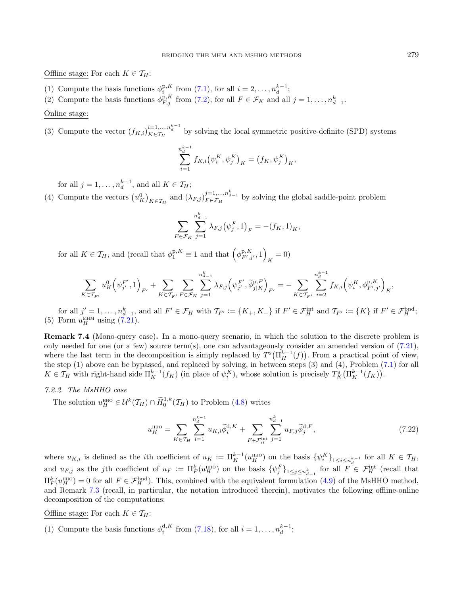Offline stage: For each  $K \in \mathcal{T}_H$ :

- (1) Compute the basis functions  $\phi_i^{p,K}$  from [\(7.1\)](#page-15-1), for all  $i = 2, \ldots, n_d^{k-1}$ ;
- (2) Compute the basis functions  $\phi_{F,j}^{p,K}$  from [\(7.2\)](#page-15-2), for all  $F \in \mathcal{F}_K$  and all  $j = 1, \ldots, n_{d-1}^k$ .

Online stage:

(3) Compute the vector  $(f_{K,i})_{K \in \mathcal{T}_H}^{i=1,\ldots,n_d^{k-1}}$  by solving the local symmetric positive-definite (SPD) systems

$$
\sum_{i=1}^{n_{d}^{k-1}} f_{K,i}(\psi_{i}^{K}, \psi_{j}^{K})_{K} = (f_{K}, \psi_{j}^{K})_{K},
$$

for all  $j = 1, ..., n_d^{k-1}$ , and all  $K \in \mathcal{T}_H$ ;

(4) Compute the vectors  $(u_K^0)_{K \in \mathcal{T}_H}$  and  $(\lambda_{F,j})_{F \in \mathcal{F}_H}^{j=1,\ldots,n_{d-1}^k}$  by solving the global saddle-point problem

<span id="page-18-0"></span>
$$
\sum_{F \in \mathcal{F}_K} \sum_{j=1}^{n_{d-1}^k} \lambda_{F,j} (\psi_j^F, 1)_F = -(f_K, 1)_K,
$$

for all  $K \in \mathcal{T}_H$ , and (recall that  $\phi_1^{p,K} \equiv 1$  and that  $(\phi_{F',j'}^{p,K}, 1)$ )  $_{K} = 0$ )

$$
\sum_{K\in\mathcal{T}_{F'}} u_K^0 \left(\psi_{j'}^{F'}, 1\right)_{F'} + \sum_{K\in\mathcal{T}_{F'}} \sum_{F\in\mathcal{F}_K} \sum_{j=1}^{n_{d-1}^k} \lambda_{F,j} \left(\psi_{j'}^{F'}, \widetilde{\phi}_{j|K}^{p,F}\right)_{F'} = -\sum_{K\in\mathcal{T}_{F'}} \sum_{i=2}^{n_d^{k-1}} f_{K,i} \left(\psi_i^K, \phi_{F',j'}^{p,K}\right)_K,
$$

for all  $j' = 1, \ldots, n_{d-1}^k$ , and all  $F' \in \mathcal{F}_H$  with  $\mathcal{T}_{F'} := \{K_+, K_-\}$  if  $F' \in \mathcal{F}_H^{\text{int}}$  and  $\mathcal{T}_{F'} := \{K\}$  if  $F' \in \mathcal{F}_H^{\text{bnd}}$ ; (5) Form  $u_H^{\text{MHM}}$  using  $(7.21)$ .

Remark 7.4 (Mono-query case). In a mono-query scenario, in which the solution to the discrete problem is only needed for one (or a few) source term(s), one can advantageously consider an amended version of [\(7.21\)](#page-17-1), where the last term in the decomposition is simply replaced by  $T^{s}(\Pi_{H}^{k-1}(f))$ . From a practical point of view, the step (1) above can be bypassed, and replaced by solving, in between steps (3) and (4), Problem [\(7.1\)](#page-15-1) for all  $K \in \mathcal{T}_H$  with right-hand side  $\Pi_K^{k-1}(f_K)$  (in place of  $\psi_i^K$ ), whose solution is precisely  $T_K^s(\Pi_K^{k-1}(f_K))$ .

# 7.2.2. The MsHHO case

The solution  $u_H^{\text{HHO}} \in \mathcal{U}^k(\mathcal{T}_H) \cap \widetilde{H}_0^{1,k}(\mathcal{T}_H)$  to Problem [\(4.8\)](#page-8-1) writes

$$
u_H^{\text{HHO}} = \sum_{K \in \mathcal{T}_H} \sum_{i=1}^{n_d^k - 1} u_{K,i} \tilde{\phi}_i^{d,K} + \sum_{F \in \mathcal{F}_H^{\text{int}}} \sum_{j=1}^{n_{d-1}^k} u_{F,j} \tilde{\phi}_j^{d,F}, \tag{7.22}
$$

where  $u_{K,i}$  is defined as the *i*th coefficient of  $u_K := \prod_K^{k-1}(u_H^{\text{HHO}})$  on the basis  $\{\psi_i^K\}_{1 \leq i \leq n_d^{k-1}}$  for all  $K \in \mathcal{T}_H$ , and  $u_{F,j}$  as the jth coefficient of  $u_F := \prod_F^k (u_H^{\text{HHO}})$  on the basis  $\{\psi_j^F\}_{1 \leq j \leq n_{d-1}^k}$  for all  $F \in \mathcal{F}_H^{\text{int}}$  (recall that  $\Pi_F^k(u_H^{\text{HHO}}) = 0$  for all  $F \in \mathcal{F}_H^{\text{bnd}}$ . This, combined with the equivalent formulation [\(4.9\)](#page-8-4) of the MsHHO method, and Remark [7.3](#page-16-1) (recall, in particular, the notation introduced therein), motivates the following offline-online decomposition of the computations:

Offline stage: For each  $K \in \mathcal{T}_H$ :

(1) Compute the basis functions  $\phi_i^{d,K}$  from [\(7.18\)](#page-17-2), for all  $i = 1, \ldots, n_d^{k-1}$ ;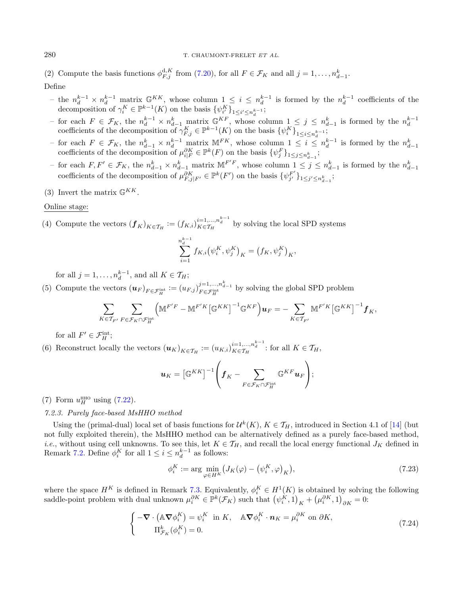(2) Compute the basis functions  $\phi_{F,j}^{d,K}$  from [\(7.20\)](#page-17-3), for all  $F \in \mathcal{F}_K$  and all  $j = 1, \ldots, n_{d-1}^k$ . Define

- − the  $n_d^{k-1} \times n_d^{k-1}$  matrix  $\mathbb{G}^{KK}$ , whose column  $1 \leq i \leq n_d^{k-1}$  is formed by the  $n_d^{k-1}$  coefficients of the decomposition of  $\gamma_i^K \in \mathbb{P}^{k-1}(K)$  on the basis  $\{\psi_{i'}^K\}_{1 \le i' \le n_d^{k-1}}$ ;
- − for each  $F \in \mathcal{F}_K$ , the  $n_d^{k-1} \times n_{d-1}^k$  matrix  $\mathbb{G}^{KF}$ , whose column  $1 \leq j \leq n_{d-1}^k$  is formed by the  $n_d^{k-1}$  coefficients of the decomposition of  $\gamma_{F,j}^K \in \mathbb{P}^{k-1}(K)$  on the basis  $\{\psi_i^K\}_{1 \leq i \le$
- − for each  $F \in \mathcal{F}_K$ , the  $n_{d-1}^k \times n_d^{k-1}$  matrix M<sup>FK</sup>, whose column  $1 \leq i \leq n_d^{k-1}$  is formed by the  $n_{d-1}^k$  coefficients of the decomposition of  $\mu_{i|F}^{\partial K} \in \mathbb{P}^k(F)$  on the basis  $\{\psi_j^F\}_{1 \leq j \leq n_{d-$
- for each  $F, F' \in \mathcal{F}_K$ , the  $n_{d-1}^k \times n_{d-1}^k$  matrix  $\mathbb{M}^{F'F}$ , whose column  $1 \leq j \leq n_{d-1}^k$  is formed by the  $n_{d-1}^k$ coefficients of the decomposition of  $\mu_{F,j|F'}^{\partial K} \in \mathbb{P}^k(F')$  on the basis  $\{\psi_{j'}^{F'}\}_{1 \leq j' \leq n_{d-1}^k}$ ;
- (3) Invert the matrix  $\mathbb{G}^{KK}$ .

### Online stage:

(4) Compute the vectors  $(\boldsymbol{f}_K)_{K \in \mathcal{T}_H} := (f_{K,i})_{K \in \mathcal{T}_H}^{i=1,\ldots,n_d^{k-1}}$  by solving the local SPD systems

$$
\sum_{i=1}^{n_{d}^{k-1}} f_{K,i}(\psi_{i}^{K}, \psi_{j}^{K})_{K} = (f_{K}, \psi_{j}^{K})_{K},
$$

for all  $j = 1, \ldots, n_d^{k-1}$ , and all  $K \in \mathcal{T}_H$ ;  $\boldsymbol{d}$ 

(5) Compute the vectors  $(u_F)_{F \in \mathcal{F}_H^{\text{int}}} := (u_{F,j})_{F \in \mathcal{F}_H^{\text{int}}}^{j=1,...,n_{d-1}^k}$  by solving the global SPD problem

$$
\sum_{K\in\mathcal{T}_{F'}}\sum_{F\in\mathcal{F}_K\cap\mathcal{F}_H^{\text{int}}} \Big(\mathbb{M}^{F'F}-\mathbb{M}^{F'K}\big[\mathbb{G}^{KK}\big]^{-1}\mathbb{G}^{KF}\Big)\mathbf{u}_F=-\sum_{K\in\mathcal{T}_{F'}}\mathbb{M}^{F'K}\big[\mathbb{G}^{KK}\big]^{-1}\mathbf{f}_K,
$$

for all  $F' \in \mathcal{F}_H^{\text{int}}$ ;

(6) Reconstruct locally the vectors  $(u_K)_{K \in \mathcal{T}_H} := (u_{K,i})_{K \in \mathcal{T}_H}^{i=1,\ldots,n_d^{k-1}}$ : for all  $K \in \mathcal{T}_H$ ,

<span id="page-19-1"></span>
$$
\boldsymbol{u}_K = \left[\mathbb{G}^{KK}\right]^{-1} \left(\boldsymbol{f}_K - \sum_{F \in \mathcal{F}_K \cap \mathcal{F}_H^{\text{int}}} \mathbb{G}^{KF} \boldsymbol{u}_F\right);
$$

(7) Form  $u_H^{\text{HHO}}$  using [\(7.22\)](#page-18-0).

### <span id="page-19-0"></span>7.2.3. Purely face-based MsHHO method

Using the (primal-dual) local set of basis functions for  $\mathcal{U}^k(K)$ ,  $K \in \mathcal{T}_H$ , introduced in Section 4.1 of [\[14\]](#page-22-9) (but not fully exploited therein), the MsHHO method can be alternatively defined as a purely face-based method, *i.e.*, without using cell unknowns. To see this, let  $K \in \mathcal{T}_H$ , and recall the local energy functional  $J_K$  defined in Remark [7.2.](#page-16-0) Define  $\phi_i^K$  for all  $1 \leq i \leq n_d^{k-1}$  as follows:

$$
\phi_i^K := \arg\min_{\varphi \in H^K} \left( J_K(\varphi) - \left( \psi_i^K, \varphi \right)_K \right),\tag{7.23}
$$

where the space  $H^K$  is defined in Remark [7.3.](#page-16-1) Equivalently,  $\phi_i^K \in H^1(K)$  is obtained by solving the following saddle-point problem with dual unknown  $\mu_i^{\partial K} \in \mathbb{P}^k(\mathcal{F}_K)$  such that  $(\psi_i^{\hat{K}}, 1)_{\hat{K}} + (\mu_i^{\partial K}, 1)_{\partial K} = 0$ :

$$
\begin{cases}\n-\nabla \cdot (\mathbb{A} \nabla \phi_i^K) = \psi_i^K \text{ in } K, & \mathbb{A} \nabla \phi_i^K \cdot \mathbf{n}_K = \mu_i^{\partial K} \text{ on } \partial K, \\
\Pi_{\mathcal{F}_K}^k(\phi_i^K) = 0.\n\end{cases} \tag{7.24}
$$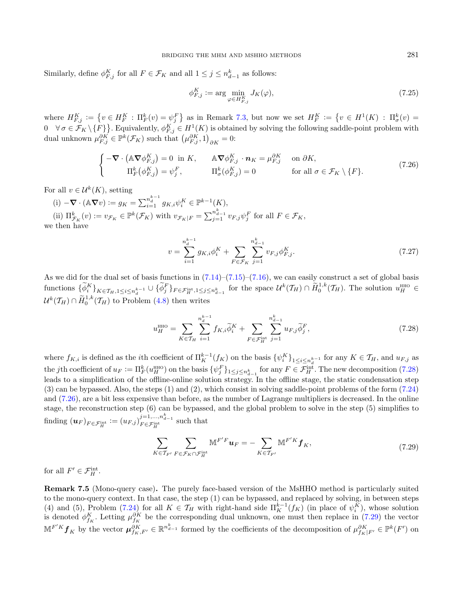Similarly, define  $\phi_{F,j}^K$  for all  $F \in \mathcal{F}_K$  and all  $1 \leq j \leq n_{d-1}^k$  as follows:

<span id="page-20-1"></span>
$$
\phi_{F,j}^K := \arg\min_{\varphi \in H_{F,j}^K} J_K(\varphi),\tag{7.25}
$$

where  $H_{F,j}^K := \{v \in H_F^K : \Pi_F^k(v) = \psi_j^F\}$  as in Remark [7.3,](#page-16-1) but now we set  $H_F^K := \{v \in H^1(K) : \Pi_{\sigma}^k(v) =$  $0 \quad \forall \sigma \in \mathcal{F}_K \setminus \{F\}$ . Equivalently,  $\phi_{F,j}^K \in H^1(K)$  is obtained by solving the following saddle-point problem with dual unknown  $\mu_{F,j}^{\partial K} \in \mathbb{P}^k(\mathcal{F}_K)$  such that  $(\mu_{F,j}^{\partial K}, 1)_{\partial K} = 0$ :

$$
\begin{cases}\n-\nabla \cdot (\mathbb{A} \nabla \phi_{F,j}^K) = 0 \text{ in } K, & \mathbb{A} \nabla \phi_{F,j}^K \cdot \mathbf{n}_K = \mu_{F,j}^{\partial K} \quad \text{on } \partial K, \\
\Pi_F^k(\phi_{F,j}^K) = \psi_j^F, & \Pi_\sigma^k(\phi_{F,j}^K) = 0 \quad \text{for all } \sigma \in \mathcal{F}_K \setminus \{F\}.\n\end{cases} \tag{7.26}
$$

For all  $v \in \mathcal{U}^k(K)$ , setting

(i)  $-\nabla \cdot (\mathbb{A} \nabla v) := g_K = \sum_{i=1}^{n_d^{k-1}} g_{K,i} \psi_i^K \in \mathbb{P}^{k-1}(K),$ (ii)  $\Pi_{\mathcal{F}_K}^k(v) := v_{\mathcal{F}_K} \in \mathbb{P}^k(\mathcal{F}_K)$  with  $v_{\mathcal{F}_K|F} = \sum_{j=1}^{n_{d-1}^k} v_{F,j} \psi_j^F$  for all  $F \in \mathcal{F}_K$ , we then have

<span id="page-20-0"></span>
$$
v = \sum_{i=1}^{n_d^{k-1}} g_{K,i} \phi_i^K + \sum_{F \in \mathcal{F}_K} \sum_{j=1}^{n_{d-1}^k} v_{F,j} \phi_{F,j}^K.
$$
 (7.27)

As we did for the dual set of basis functions in  $(7.14)$ – $(7.15)$ – $(7.16)$ , we can easily construct a set of global basis functions  $\{\widetilde{\phi}_i^K\}_{K \in \mathcal{T}_H, 1 \leq i \leq n_d^{k-1}} \cup \{\widetilde{\phi}_j^F\}_{F \in \mathcal{F}_H^{\text{int}}, 1 \leq j \leq n_{d-1}^k}$  for the space  $\mathcal{U}^k(\mathcal{T}_H) \cap \widetilde{H}_0^{1,k}(\mathcal{T}_H)$ . The solution  $u_H^{\text{HHO}} \in$  $\mathcal{U}^k(\mathcal{T}_H) \cap \widetilde{H}^{1,k}_0(\mathcal{T}_H)$  to Problem [\(4.8\)](#page-8-1) then writes

<span id="page-20-2"></span>
$$
u_H^{\text{HHO}} = \sum_{K \in \mathcal{T}_H} \sum_{i=1}^{n_d^{\bar{k}-1}} f_{K,i} \tilde{\phi}_i^K + \sum_{F \in \mathcal{F}_H^{\text{int}}} \sum_{j=1}^{n_{d-1}^{\bar{k}}} u_{F,j} \tilde{\phi}_j^F,
$$
(7.28)

where  $f_{K,i}$  is defined as the *i*th coefficient of  $\prod_{K}^{k-1}(f_K)$  on the basis  $\{\psi_i^{K}\}_{1 \leq i \leq n_d^{k-1}}$  for any  $K \in \mathcal{T}_H$ , and  $u_{F,j}$  as the jth coefficient of  $u_F := \prod_F^k (u_H^{\text{HHO}})$  on the basis  $\{\psi_j^F\}_{1 \leq j \leq n_{d-1}^k}$  for any  $F \in \mathcal{F}_H^{\text{int}}$ . The new decomposition [\(7.28\)](#page-20-0) leads to a simplification of the offline-online solution strategy. In the offline stage, the static condensation step (3) can be bypassed. Also, the steps (1) and (2), which consist in solving saddle-point problems of the form [\(7.24\)](#page-19-1) and [\(7.26\)](#page-20-1), are a bit less expensive than before, as the number of Lagrange multipliers is decreased. In the online stage, the reconstruction step (6) can be bypassed, and the global problem to solve in the step (5) simplifies to finding  $(\boldsymbol u_F)_{F \in \mathcal F_H^{\text{int}}} \coloneqq (u_{F,j})^{j=1,...,n_{d-1}^k}_{F \in \mathcal F_H^{\text{int}}}$  such that

$$
\sum_{K \in \mathcal{T}_{F'}} \sum_{F \in \mathcal{F}_K \cap \mathcal{F}_H^{\text{int}}} \mathbb{M}^{F'F} \mathbf{u}_F = -\sum_{K \in \mathcal{T}_{F'}} \mathbb{M}^{F'K} \mathbf{f}_K, \tag{7.29}
$$

for all  $F' \in \mathcal{F}_H^{\text{int}}$ .

Remark 7.5 (Mono-query case). The purely face-based version of the MsHHO method is particularly suited to the mono-query context. In that case, the step (1) can be bypassed, and replaced by solving, in between steps (4) and (5), Problem [\(7.24\)](#page-19-1) for all  $K \in \mathcal{T}_H$  with right-hand side  $\Pi_K^{k-1}(f_K)$  (in place of  $\psi_i^K$ ), whose solution is denoted  $\phi_{f_K}^K$ . Letting  $\mu_{f_K}^{\partial K}$  be the corresponding dual unknown, one must then replace in [\(7.29\)](#page-20-2) the vector  $\mathbb{M}^{F'K} f_K$  by the vector  $\mu_{f_K, F'}^{\partial K} \in \mathbb{R}^{n_{d-1}^k}$  formed by the coefficients of the decomposition of  $\mu_{f_K|F'}^{\partial K} \in \mathbb{P}^k(F')$  on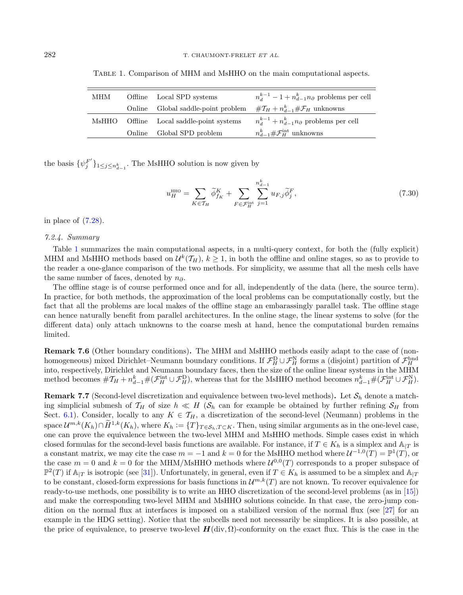| MHM | Offline Local SPD systems                | $n_d^{k-1} - 1 + n_{d-1}^k n_{\partial}$ problems per cell |
|-----|------------------------------------------|------------------------------------------------------------|
|     | Online Global saddle-point problem       | $\#\mathcal{I}_H + n_{d-1}^k \#\mathcal{F}_H$ unknowns     |
|     | MsHHO Offline Local saddle-point systems | $n_d^{k-1} + n_{d-1}^k n_{\partial}$ problems per cell     |
|     | Online Global SPD problem                | $n_{d-1}^k \# \mathcal{F}_H^{\text{int}}$ unknowns         |

<span id="page-21-1"></span>Table 1. Comparison of MHM and MsHHO on the main computational aspects.

the basis  $\{\psi_j^{F'}\}_{1 \leq j \leq n_{d-1}^k}$ . The MsHHO solution is now given by

$$
u_H^{\text{HHO}} = \sum_{K \in \mathcal{T}_H} \widetilde{\phi}_{f_K}^K + \sum_{F \in \mathcal{F}_H^{\text{int}}} \sum_{j=1}^{n_{d-1}^k} u_{F,j} \widetilde{\phi}_j^F,
$$
\n(7.30)

in place of [\(7.28\)](#page-20-0).

#### 7.2.4. Summary

Table [1](#page-21-1) summarizes the main computational aspects, in a multi-query context, for both the (fully explicit) MHM and MsHHO methods based on  $\mathcal{U}^k(\mathcal{T}_H), k \geq 1$ , in both the offline and online stages, so as to provide to the reader a one-glance comparison of the two methods. For simplicity, we assume that all the mesh cells have the same number of faces, denoted by  $n_{\partial}$ .

The offline stage is of course performed once and for all, independently of the data (here, the source term). In practice, for both methods, the approximation of the local problems can be computationally costly, but the fact that all the problems are local makes of the offline stage an embarassingly parallel task. The offline stage can hence naturally benefit from parallel architectures. In the online stage, the linear systems to solve (for the different data) only attach unknowns to the coarse mesh at hand, hence the computational burden remains limited.

Remark 7.6 (Other boundary conditions). The MHM and MsHHO methods easily adapt to the case of (nonhomogeneous) mixed Dirichlet–Neumann boundary conditions. If  $\mathcal{F}_H^D \cup \mathcal{F}_H^N$  forms a (disjoint) partition of  $\mathcal{F}_H^{bnd}$ <br>into, respectively, Dirichlet and Neumann boundary faces, then the size of the online linea method becomes  $\# \mathcal{T}_H + n_{d-1}^k \# (\mathcal{F}_H^{\text{int}} \cup \mathcal{F}_H^{\text{D}})$ , whereas that for the MsHHO method becomes  $n_{d-1}^k \# (\mathcal{F}_H^{\text{int}} \cup \mathcal{F}_H^{\text{N}})$ .

<span id="page-21-0"></span>**Remark 7.7** (Second-level discretization and equivalence between two-level methods). Let  $S_h$  denote a matching simplicial submesh of  $\mathcal{T}_H$  of size  $h \ll H$  ( $\mathcal{S}_h$  can for example be obtained by further refining  $\mathcal{S}_H$  from Sect. [6.1\)](#page-10-3). Consider, locally to any  $K \in \mathcal{T}_H$ , a discretization of the second-level (Neumann) problems in the space  $\mathcal{U}^{m,k}(K_h) \cap \widetilde{H}^{1,k}(K_h)$ , where  $K_h := \{T\}_{T \in \mathcal{S}_h, T \subset K}$ . Then, using similar arguments as in the one-level case, one can prove the equivalence between the two-level MHM and MsHHO methods. Simple cases exist in which closed formulas for the second-level basis functions are available. For instance, if  $T \in K_h$  is a simplex and  $\mathbb{A}_{|T}$  is a constant matrix, we may cite the case  $m = -1$  and  $k = 0$  for the MsHHO method where  $\mathcal{U}^{-1,0}(T) = \mathbb{P}^1(T)$ , or the case  $m = 0$  and  $k = 0$  for the MHM/MsHHO methods where  $\mathcal{U}^{0,0}(T)$  corresponds to a proper subspace of  $\mathbb{P}^2(T)$  if  $\mathbb{A}_{|T}$  is isotropic (see [\[31\]](#page-23-15)). Unfortunately, in general, even if  $T \in K_h$  is assumed to be a simplex and  $\mathbb{A}_{|T}$ to be constant, closed-form expressions for basis functions in  $\mathcal{U}^{m,k}(T)$  are not known. To recover equivalence for ready-to-use methods, one possibility is to write an HHO discretization of the second-level problems (as in [\[15\]](#page-22-10)) and make the corresponding two-level MHM and MsHHO solutions coincide. In that case, the zero-jump condition on the normal flux at interfaces is imposed on a stabilized version of the normal flux (see [\[27\]](#page-23-13) for an example in the HDG setting). Notice that the subcells need not necessarily be simplices. It is also possible, at the price of equivalence, to preserve two-level  $H(\text{div}, \Omega)$ -conformity on the exact flux. This is the case in the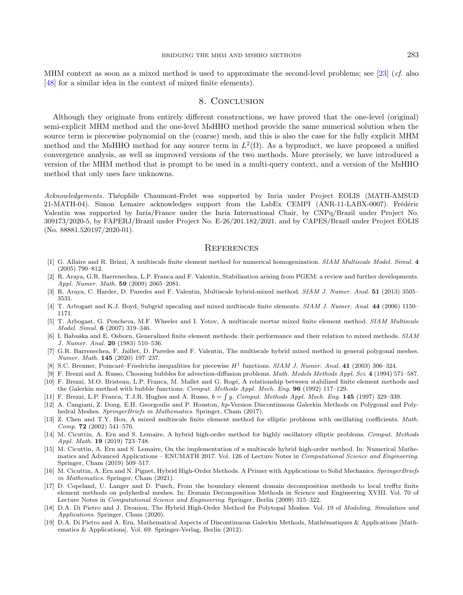MHM context as soon as a mixed method is used to approximate the second-level problems; see [\[23\]](#page-23-27) (*cf.* also [\[48\]](#page-23-28) for a similar idea in the context of mixed finite elements).

# 8. Conclusion

<span id="page-22-14"></span><span id="page-22-5"></span>Although they originate from entirely different constructions, we have proved that the one-level (original) semi-explicit MHM method and the one-level MsHHO method provide the same numerical solution when the source term is piecewise polynomial on the (coarse) mesh, and this is also the case for the fully explicit MHM method and the MsHHO method for any source term in  $L^2(\Omega)$ . As a byproduct, we have proposed a unified convergence analysis, as well as improved versions of the two methods. More precisely, we have introduced a version of the MHM method that is prompt to be used in a multi-query context, and a version of the MsHHO method that only uses face unknowns.

<span id="page-22-12"></span><span id="page-22-7"></span><span id="page-22-6"></span><span id="page-22-4"></span><span id="page-22-0"></span>Acknowledgements. Théophile Chaumont-Frelet was supported by Inria under Project EOLIS (MATH-AMSUD 21-MATH-04). Simon Lemaire acknowledges support from the LabEx CEMPI (ANR-11-LABX-0007). Frédéric Valentin was supported by Inria/France under the Inria International Chair, by CNPq/Brazil under Project No. 309173/2020-5, by FAPERJ/Brazil under Project No. E-26/201.182/2021, and by CAPES/Brazil under Project EOLIS (No. 88881.520197/2020-01).

#### **REFERENCES**

- <span id="page-22-19"></span><span id="page-22-8"></span><span id="page-22-1"></span>[1] G. Allaire and R. Brizzi, A multiscale finite element method for numerical homogenization. SIAM Multiscale Model. Simul. 4 (2005) 790–812.
- <span id="page-22-2"></span>[2] R. Araya, G.R. Barrenechea, L.P. Franca and F. Valentin, Stabilization arising from PGEM: a review and further developments. Appl. Numer. Math. 59 (2009) 2065–2081.
- <span id="page-22-15"></span><span id="page-22-3"></span>[3] R. Araya, C. Harder, D. Paredes and F. Valentin, Multiscale hybrid-mixed method. SIAM J. Numer. Anal. 51 (2013) 3505– 3531.
- <span id="page-22-11"></span>[4] T. Arbogast and K.J. Boyd, Subgrid upscaling and mixed multiscale finite elements. SIAM J. Numer. Anal. 44 (2006) 1150– 1171.
- <span id="page-22-9"></span>[5] T. Arbogast, G. Pencheva, M.F. Wheeler and I. Yotov, A multiscale mortar mixed finite element method. SIAM Multiscale Model. Simul. 6 (2007) 319–346.
- <span id="page-22-10"></span>[6] I. Babuška and E. Osborn, Generalized finite element methods: their performance and their relation to mixed methods. SIAM J. Numer. Anal. 20 (1983) 510–536.
- [7] G.R. Barrenechea, F. Jaillet, D. Paredes and F. Valentin, The multiscale hybrid mixed method in general polygonal meshes. Numer. Math. 145 (2020) 197–237.
- <span id="page-22-17"></span>[8] S.C. Brenner, Poincaré–Friedrichs inequalities for piecewise  $H<sup>1</sup>$  functions. SIAM J. Numer. Anal. 41 (2003) 306–324.
- <span id="page-22-13"></span>[9] F. Brezzi and A. Russo, Choosing bubbles for advection-diffusion problems. Math. Models Methods Appl. Sci. 4 (1994) 571–587.
- [10] F. Brezzi, M.O. Bristeau, L.P. Franca, M. Mallet and G. Rogé, A relationship between stabilized finite element methods and the Galerkin method with bubble functions. Comput. Methods Appl. Mech. Eng. 96 (1992) 117–129.
- <span id="page-22-18"></span>[11] F. Brezzi, L.P. Franca, T.J.R. Hughes and A. Russo,  $b = \int g$ . Comput. Methods Appl. Mech. Eng. 145 (1997) 329–339.
- <span id="page-22-16"></span>[12] A. Cangiani, Z. Dong, E.H. Georgoulis and P. Houston, hp-Version Discontinuous Galerkin Methods on Polygonal and Polyhedral Meshes. SpringerBriefs in Mathematics. Springer, Cham (2017).
- [13] Z. Chen and T.Y. Hou, A mixed multiscale finite element method for elliptic problems with oscillating coefficients. Math. Comp. 72 (2002) 541–576.
- [14] M. Cicuttin, A. Ern and S. Lemaire, A hybrid high-order method for highly oscillatory elliptic problems. Comput. Methods Appl. Math. 19 (2019) 723–748.
- [15] M. Cicuttin, A. Ern and S. Lemaire, On the implementation of a multiscale hybrid high-order method. In: Numerical Mathematics and Advanced Applications – ENUMATH 2017. Vol. 126 of Lecture Notes in Computational Science and Engineering. Springer, Cham (2019) 509–517.
- [16] M. Cicuttin, A. Ern and N. Pignet, Hybrid High-Order Methods. A Primer with Applications to Solid Mechanics. SpringerBriefs in Mathematics. Springer, Cham (2021).
- [17] D. Copeland, U. Langer and D. Pusch, From the boundary element domain decomposition methods to local trefftz finite element methods on polyhedral meshes. In: Domain Decomposition Methods in Science and Engineering XVIII. Vol. 70 of Lecture Notes in Computational Science and Engineering. Springer, Berlin (2009) 315–322.
- [18] D.A. Di Pietro and J. Droniou, The Hybrid High-Order Method for Polytopal Meshes. Vol. 19 of *Modeling, Simulation and* Applications. Springer, Cham (2020).
- [19] D.A. Di Pietro and A. Ern, Mathematical Aspects of Discontinuous Galerkin Methods, Mathématiques & Applications [Mathematics & Applications]. Vol. 69. Springer-Verlag, Berlin (2012).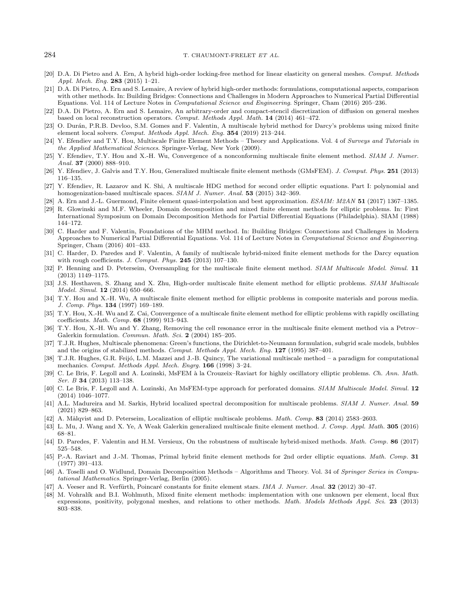#### <span id="page-23-27"></span><span id="page-23-20"></span><span id="page-23-19"></span><span id="page-23-18"></span><span id="page-23-10"></span><span id="page-23-7"></span><span id="page-23-6"></span>284 T. CHAUMONT-FRELET ET AL.

- <span id="page-23-13"></span>[20] D.A. Di Pietro and A. Ern, A hybrid high-order locking-free method for linear elasticity on general meshes. Comput. Methods Appl. Mech. Eng. 283 (2015) 1–21.
- <span id="page-23-26"></span><span id="page-23-5"></span>[21] D.A. Di Pietro, A. Ern and S. Lemaire, A review of hybrid high-order methods: formulations, computational aspects, comparison with other methods. In: Building Bridges: Connections and Challenges in Modern Approaches to Numerical Partial Differential Equations. Vol. 114 of Lecture Notes in Computational Science and Engineering. Springer, Cham (2016) 205–236.
- [22] D.A. Di Pietro, A. Ern and S. Lemaire, An arbitrary-order and compact-stencil discretization of diffusion on general meshes based on local reconstruction operators. Comput. Methods Appl. Math. 14 (2014) 461–472.
- <span id="page-23-17"></span>[23] O. Durán, P.R.B. Devloo, S.M. Gomes and F. Valentin, A multiscale hybrid method for Darcy's problems using mixed finite element local solvers. Comput. Methods Appl. Mech. Eng. 354 (2019) 213–244.
- <span id="page-23-15"></span>[24] Y. Efendiev and T.Y. Hou, Multiscale Finite Element Methods – Theory and Applications. Vol. 4 of Surveys and Tutorials in the Applied Mathematical Sciences. Springer-Verlag, New York (2009).
- <span id="page-23-11"></span>[25] Y. Efendiev, T.Y. Hou and X.-H. Wu, Convergence of a nonconforming multiscale finite element method. SIAM J. Numer. Anal. 37 (2000) 888–910.
- <span id="page-23-9"></span>[26] Y. Efendiev, J. Galvis and T.Y. Hou, Generalized multiscale finite element methods (GMsFEM). J. Comput. Phys. 251 (2013) 116–135.
- <span id="page-23-3"></span>[27] Y. Efendiev, R. Lazarov and K. Shi, A multiscale HDG method for second order elliptic equations. Part I: polynomial and homogenization-based multiscale spaces. SIAM J. Numer. Anal. **53** (2015) 342-369.
- <span id="page-23-4"></span>[28] A. Ern and J.-L. Guermond, Finite element quasi-interpolation and best approximation. ESAIM: M2AN 51 (2017) 1367–1385.
- <span id="page-23-8"></span>[29] R. Glowinski and M.F. Wheeler, Domain decomposition and mixed finite element methods for elliptic problems. In: First International Symposium on Domain Decomposition Methods for Partial Differential Equations (Philadelphia). SIAM (1988) 144–172.
- <span id="page-23-1"></span>[30] C. Harder and F. Valentin, Foundations of the MHM method. In: Building Bridges: Connections and Challenges in Modern Approaches to Numerical Partial Differential Equations. Vol. 114 of Lecture Notes in Computational Science and Engineering. Springer, Cham (2016) 401–433.
- <span id="page-23-2"></span>[31] C. Harder, D. Paredes and F. Valentin, A family of multiscale hybrid-mixed finite element methods for the Darcy equation with rough coefficients. J. Comput. Phys. 245 (2013) 107-130.
- <span id="page-23-21"></span>[32] P. Henning and D. Peterseim, Oversampling for the multiscale finite element method. SIAM Multiscale Model. Simul. 11 (2013) 1149–1175.
- <span id="page-23-22"></span>[33] J.S. Hesthaven, S. Zhang and X. Zhu, High-order multiscale finite element method for elliptic problems. SIAM Multiscale Model. Simul. 12 (2014) 650–666.
- <span id="page-23-24"></span>[34] T.Y. Hou and X.-H. Wu, A multiscale finite element method for elliptic problems in composite materials and porous media. J. Comp. Phys. 134 (1997) 169–189.
- <span id="page-23-14"></span><span id="page-23-12"></span>[35] T.Y. Hou, X.-H. Wu and Z. Cai, Convergence of a multiscale finite element method for elliptic problems with rapidly oscillating coefficients. Math. Comp. 68 (1999) 913–943.
- <span id="page-23-16"></span>[36] T.Y. Hou, X.-H. Wu and Y. Zhang, Removing the cell resonance error in the multiscale finite element method via a Petrov– Galerkin formulation. Commun. Math. Sci. 2 (2004) 185–205.
- <span id="page-23-23"></span>[37] T.J.R. Hughes, Multiscale phenomena: Green's functions, the Dirichlet-to-Neumann formulation, subgrid scale models, bubbles and the origins of stabilized methods. Comput. Methods Appl. Mech. Eng. 127 (1995) 387–401.
- <span id="page-23-0"></span>[38] T.J.R. Hughes, G.R. Feijó, L.M. Mazzei and J.-B. Quincy, The variational multiscale method – a paradigm for computational mechanics. Comput. Methods Appl. Mech. Engrg. 166 (1998) 3–24.
- <span id="page-23-25"></span>[39] C. Le Bris, F. Legoll and A. Lozinski, MsFEM à la Crouzeix–Raviart for highly oscillatory elliptic problems. Ch. Ann. Math. Ser. B 34 (2013) 113–138.
- <span id="page-23-28"></span>[40] C. Le Bris, F. Legoll and A. Lozinski, An MsFEM-type approach for perforated domains. SIAM Multiscale Model. Simul. 12 (2014) 1046–1077.
- [41] A.L. Madureira and M. Sarkis, Hybrid localized spectral decomposition for multiscale problems. SIAM J. Numer. Anal. 59 (2021) 829–863.
- [42] A. Målqvist and D. Peterseim, Localization of elliptic multiscale problems. Math. Comp. 83 (2014) 2583–2603.
- [43] L. Mu, J. Wang and X. Ye, A Weak Galerkin generalized multiscale finite element method. J. Comp. Appl. Math. 305 (2016) 68–81.
- [44] D. Paredes, F. Valentin and H.M. Versieux, On the robustness of multiscale hybrid-mixed methods. Math. Comp. 86 (2017) 525–548.
- [45] P.-A. Raviart and J.-M. Thomas, Primal hybrid finite element methods for 2nd order elliptic equations. Math. Comp. 31 (1977) 391–413.
- [46] A. Toselli and O. Widlund, Domain Decomposition Methods Algorithms and Theory. Vol. 34 of Springer Series in Computational Mathematics. Springer-Verlag, Berlin (2005).
- [47] A. Veeser and R. Verfürth, Poincaré constants for finite element stars. IMA J. Numer. Anal. 32 (2012) 30-47.
- [48] M. Vohralík and B.I. Wohlmuth, Mixed finite element methods: implementation with one unknown per element, local flux expressions, positivity, polygonal meshes, and relations to other methods. Math. Models Methods Appl. Sci. 23 (2013) 803–838.